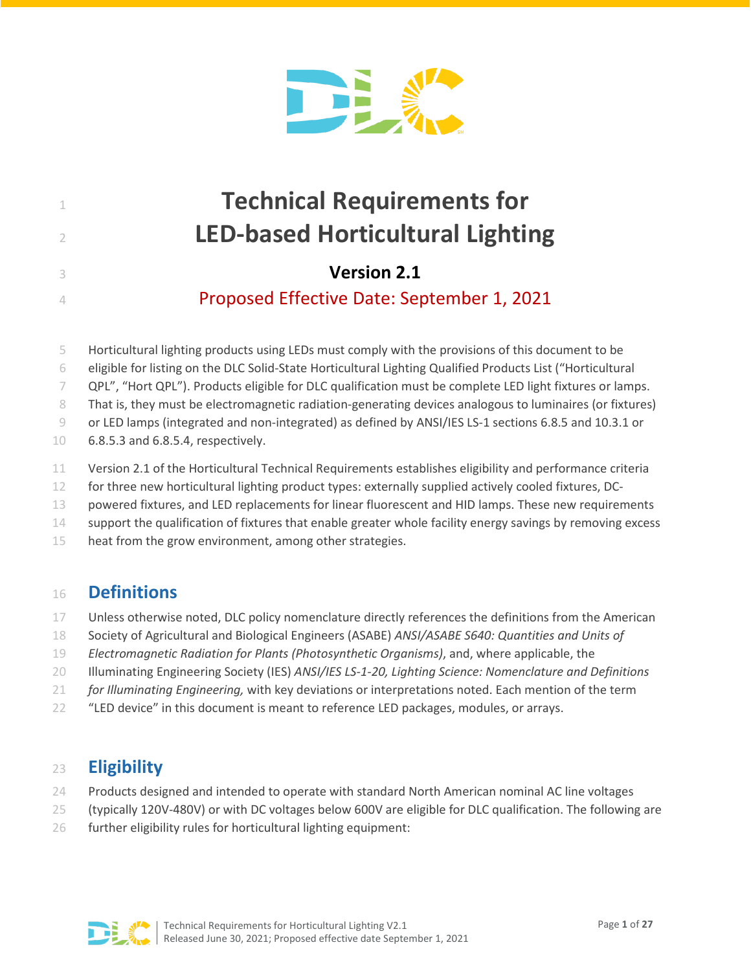

 **Technical Requirements for LED-based Horticultural Lighting Version 2.1** Proposed Effective Date: September 1, 2021

Horticultural lighting products using LEDs must comply with the provisions of this document to be

eligible for listing on the DLC Solid-State Horticultural Lighting Qualified Products List ("Horticultural

QPL", "Hort QPL"). Products eligible for DLC qualification must be complete LED light fixtures or lamps.

That is, they must be electromagnetic radiation-generating devices analogous to luminaires (or fixtures)

or LED lamps (integrated and non-integrated) as defined by ANSI/IES LS-1 sections 6.8.5 and 10.3.1 or

6.8.5.3 and 6.8.5.4, respectively.

- Version 2.1 of the Horticultural Technical Requirements establishes eligibility and performance criteria
- for three new horticultural lighting product types: externally supplied actively cooled fixtures, DC-
- powered fixtures, and LED replacements for linear fluorescent and HID lamps. These new requirements
- support the qualification of fixtures that enable greater whole facility energy savings by removing excess
- heat from the grow environment, among other strategies.

# **Definitions**

- Unless otherwise noted, DLC policy nomenclature directly references the definitions from the American
- Society of Agricultural and Biological Engineers (ASABE) *ANSI/ASABE S640: Quantities and Units of*
- *Electromagnetic Radiation for Plants (Photosynthetic Organisms)*, and, where applicable, the
- Illuminating Engineering Society (IES) *ANSI/IES LS-1-20, Lighting Science: Nomenclature and Definitions*
- *for Illuminating Engineering,* with key deviations or interpretations noted. Each mention of the term
- "LED device" in this document is meant to reference LED packages, modules, or arrays.

# **Eligibility**

- Products designed and intended to operate with standard North American nominal AC line voltages
- (typically 120V-480V) or with DC voltages below 600V are eligible for DLC qualification. The following are
- further eligibility rules for horticultural lighting equipment:

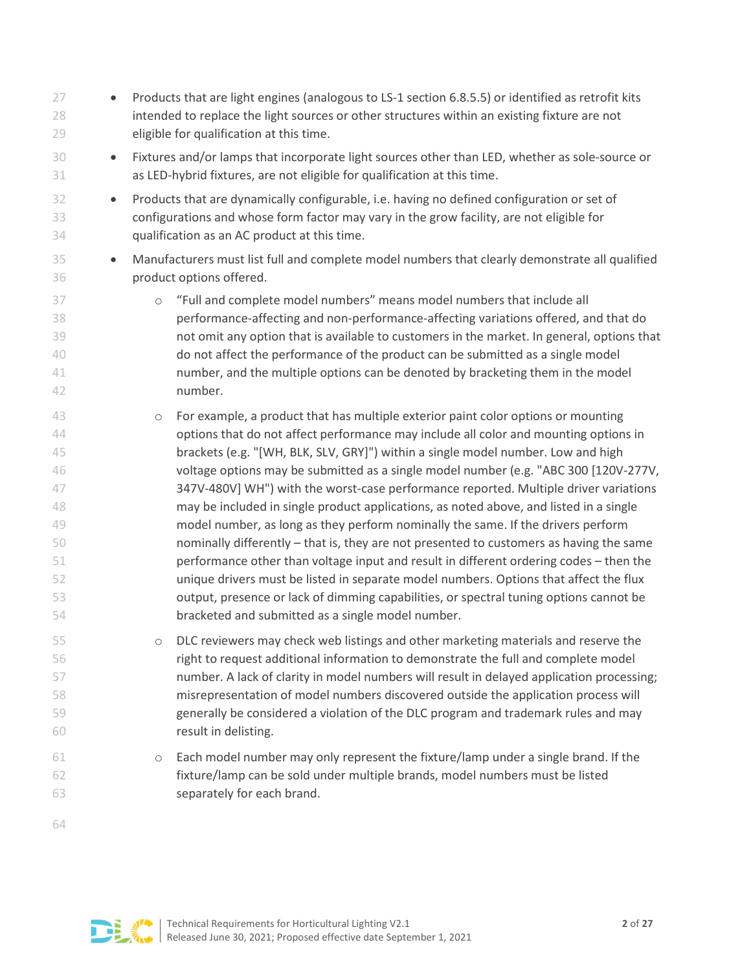| 27<br>28<br>29                                                       | Products that are light engines (analogous to LS-1 section 6.8.5.5) or identified as retrofit kits<br>intended to replace the light sources or other structures within an existing fixture are not<br>eligible for qualification at this time.                                                                                                                                                                                                                                                                                                                                                                                                                                                                                                                                                                                                                                                                                                                                                                                                                         |
|----------------------------------------------------------------------|------------------------------------------------------------------------------------------------------------------------------------------------------------------------------------------------------------------------------------------------------------------------------------------------------------------------------------------------------------------------------------------------------------------------------------------------------------------------------------------------------------------------------------------------------------------------------------------------------------------------------------------------------------------------------------------------------------------------------------------------------------------------------------------------------------------------------------------------------------------------------------------------------------------------------------------------------------------------------------------------------------------------------------------------------------------------|
| 30<br>31                                                             | Fixtures and/or lamps that incorporate light sources other than LED, whether as sole-source or<br>$\bullet$<br>as LED-hybrid fixtures, are not eligible for qualification at this time.                                                                                                                                                                                                                                                                                                                                                                                                                                                                                                                                                                                                                                                                                                                                                                                                                                                                                |
| 32<br>33<br>34                                                       | Products that are dynamically configurable, i.e. having no defined configuration or set of<br>$\bullet$<br>configurations and whose form factor may vary in the grow facility, are not eligible for<br>qualification as an AC product at this time.                                                                                                                                                                                                                                                                                                                                                                                                                                                                                                                                                                                                                                                                                                                                                                                                                    |
| 35<br>36                                                             | Manufacturers must list full and complete model numbers that clearly demonstrate all qualified<br>$\bullet$<br>product options offered.                                                                                                                                                                                                                                                                                                                                                                                                                                                                                                                                                                                                                                                                                                                                                                                                                                                                                                                                |
| 37<br>38<br>39<br>40<br>41<br>42                                     | "Full and complete model numbers" means model numbers that include all<br>$\circ$<br>performance-affecting and non-performance-affecting variations offered, and that do<br>not omit any option that is available to customers in the market. In general, options that<br>do not affect the performance of the product can be submitted as a single model<br>number, and the multiple options can be denoted by bracketing them in the model<br>number.                                                                                                                                                                                                                                                                                                                                                                                                                                                                                                                                                                                                                |
| 43<br>44<br>45<br>46<br>47<br>48<br>49<br>50<br>51<br>52<br>53<br>54 | For example, a product that has multiple exterior paint color options or mounting<br>$\bigcirc$<br>options that do not affect performance may include all color and mounting options in<br>brackets (e.g. "[WH, BLK, SLV, GRY]") within a single model number. Low and high<br>voltage options may be submitted as a single model number (e.g. "ABC 300 [120V-277V,<br>347V-480V] WH") with the worst-case performance reported. Multiple driver variations<br>may be included in single product applications, as noted above, and listed in a single<br>model number, as long as they perform nominally the same. If the drivers perform<br>nominally differently - that is, they are not presented to customers as having the same<br>performance other than voltage input and result in different ordering codes - then the<br>unique drivers must be listed in separate model numbers. Options that affect the flux<br>output, presence or lack of dimming capabilities, or spectral tuning options cannot be<br>bracketed and submitted as a single model number. |
| 55<br>56<br>57<br>58<br>59<br>60                                     | DLC reviewers may check web listings and other marketing materials and reserve the<br>right to request additional information to demonstrate the full and complete model<br>number. A lack of clarity in model numbers will result in delayed application processing;<br>misrepresentation of model numbers discovered outside the application process will<br>generally be considered a violation of the DLC program and trademark rules and may<br>result in delisting.                                                                                                                                                                                                                                                                                                                                                                                                                                                                                                                                                                                              |
| 61<br>62<br>63                                                       | Each model number may only represent the fixture/lamp under a single brand. If the<br>$\bigcirc$<br>fixture/lamp can be sold under multiple brands, model numbers must be listed<br>separately for each brand.                                                                                                                                                                                                                                                                                                                                                                                                                                                                                                                                                                                                                                                                                                                                                                                                                                                         |
| 64                                                                   |                                                                                                                                                                                                                                                                                                                                                                                                                                                                                                                                                                                                                                                                                                                                                                                                                                                                                                                                                                                                                                                                        |

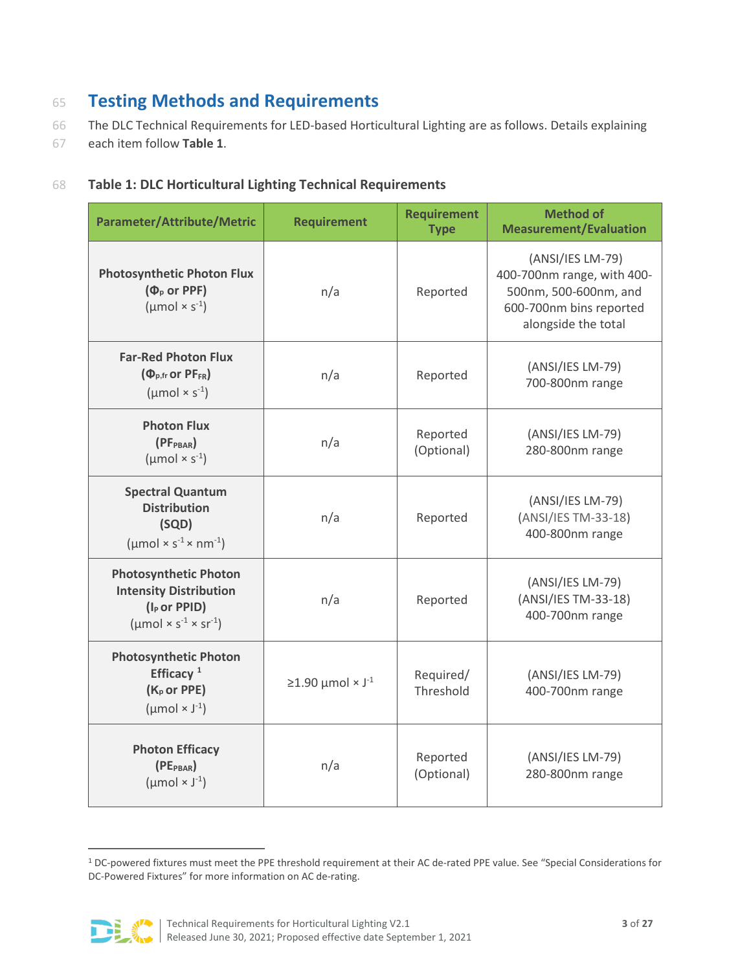# <sup>65</sup> **Testing Methods and Requirements**

- 66 The DLC Technical Requirements for LED-based Horticultural Lighting are as follows. Details explaining
- 67 each item follow **[Table 1](#page-2-0)**.

### <span id="page-2-0"></span>68 **Table 1: DLC Horticultural Lighting Technical Requirements**

| <b>Parameter/Attribute/Metric</b>                                                                                                                                  | <b>Requirement</b>                 | <b>Requirement</b><br><b>Type</b> | <b>Method of</b><br><b>Measurement/Evaluation</b>                                                                         |
|--------------------------------------------------------------------------------------------------------------------------------------------------------------------|------------------------------------|-----------------------------------|---------------------------------------------------------------------------------------------------------------------------|
| <b>Photosynthetic Photon Flux</b><br>$(\Phi_{\rm p}$ or PPF)<br>$(\mu \text{mol} \times \text{s}^{-1})$                                                            | n/a                                | Reported                          | (ANSI/IES LM-79)<br>400-700nm range, with 400-<br>500nm, 500-600nm, and<br>600-700nm bins reported<br>alongside the total |
| <b>Far-Red Photon Flux</b><br>$(\Phi_{p,fr}$ or PF <sub>FR</sub> )<br>$(\mu \text{mol} \times \text{s}^{-1})$                                                      | n/a                                | Reported                          | (ANSI/IES LM-79)<br>700-800nm range                                                                                       |
| <b>Photon Flux</b><br>(PF <sub>PBAR</sub> )<br>$(\mu \text{mol} \times \text{s}^{-1})$                                                                             | n/a                                | Reported<br>(Optional)            | (ANSI/IES LM-79)<br>280-800nm range                                                                                       |
| <b>Spectral Quantum</b><br><b>Distribution</b><br>(SQD)<br>$(\mu \text{mol} \times \text{S}^{-1} \times \text{nm}^{-1})$                                           | n/a                                | Reported                          | (ANSI/IES LM-79)<br>(ANSI/IES TM-33-18)<br>400-800nm range                                                                |
| <b>Photosynthetic Photon</b><br><b>Intensity Distribution</b><br>(I <sub>P</sub> or PPID)<br>$(\mu \text{mol} \times \text{S}^{-1} \times \text{S} \text{r}^{-1})$ | n/a                                | Reported                          | (ANSI/IES LM-79)<br>(ANSI/IES TM-33-18)<br>400-700nm range                                                                |
| <b>Photosynthetic Photon</b><br>Efficacy $1$<br>(K <sub>p</sub> or PPE)<br>$(\mu \text{mol} \times \text{J}^{-1})$                                                 | $\geq$ 1.90 µmol × J <sup>-1</sup> | Required/<br>Threshold            | (ANSI/IES LM-79)<br>400-700nm range                                                                                       |
| <b>Photon Efficacy</b><br>$(PE_{PBAR})$<br>$(\mu \text{mol} \times \text{J}^{-1})$                                                                                 | n/a                                | Reported<br>(Optional)            | (ANSI/IES LM-79)<br>280-800nm range                                                                                       |

<span id="page-2-1"></span><sup>1</sup> DC-powered fixtures must meet the PPE threshold requirement at their AC de-rated PPE value. See "Special Considerations for DC-Powered Fixtures" for more information on AC de-rating.

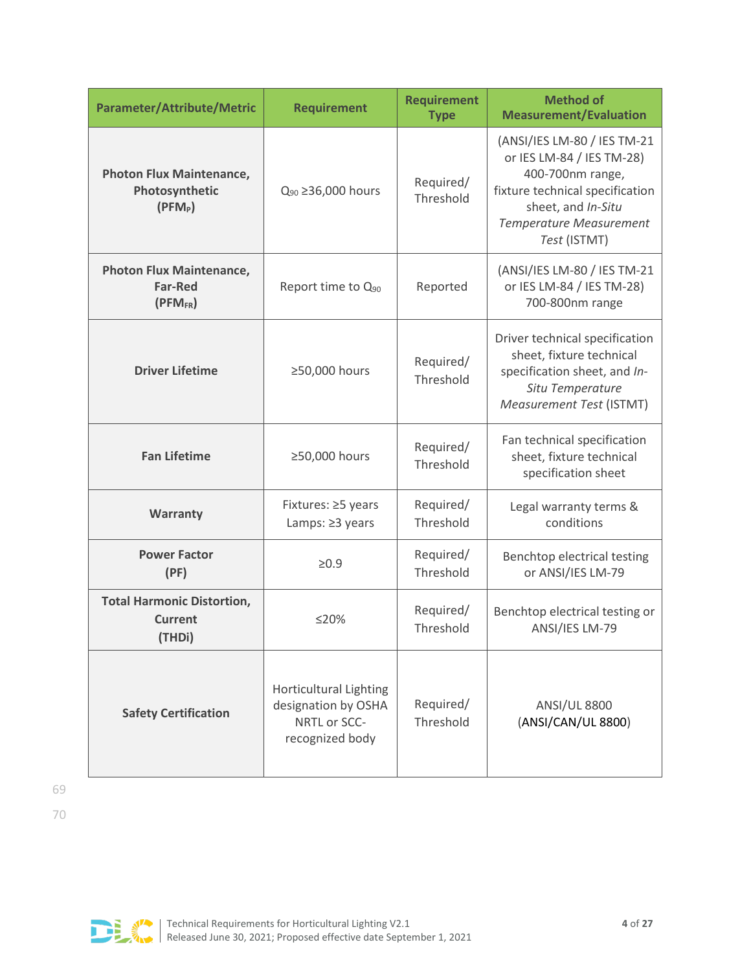| <b>Parameter/Attribute/Metric</b>                                         | <b>Requirement</b>                                                                      | <b>Requirement</b><br><b>Type</b> | <b>Method of</b><br><b>Measurement/Evaluation</b>                                                                                                                                       |
|---------------------------------------------------------------------------|-----------------------------------------------------------------------------------------|-----------------------------------|-----------------------------------------------------------------------------------------------------------------------------------------------------------------------------------------|
| <b>Photon Flux Maintenance,</b><br>Photosynthetic<br>(PFM <sub>P</sub> )  | $Q_{90} \ge 36,000$ hours                                                               | Required/<br>Threshold            | (ANSI/IES LM-80 / IES TM-21<br>or IES LM-84 / IES TM-28)<br>400-700nm range,<br>fixture technical specification<br>sheet, and In-Situ<br><b>Temperature Measurement</b><br>Test (ISTMT) |
| <b>Photon Flux Maintenance,</b><br><b>Far-Red</b><br>(PFM <sub>FR</sub> ) | Report time to Q90                                                                      | Reported                          | (ANSI/IES LM-80 / IES TM-21<br>or IES LM-84 / IES TM-28)<br>700-800nm range                                                                                                             |
| <b>Driver Lifetime</b>                                                    | ≥50,000 hours                                                                           | Required/<br>Threshold            | Driver technical specification<br>sheet, fixture technical<br>specification sheet, and In-<br>Situ Temperature<br>Measurement Test (ISTMT)                                              |
| <b>Fan Lifetime</b>                                                       | ≥50,000 hours                                                                           | Required/<br>Threshold            | Fan technical specification<br>sheet, fixture technical<br>specification sheet                                                                                                          |
| <b>Warranty</b>                                                           | Fixtures: ≥5 years<br>Lamps: ≥3 years                                                   | Required/<br>Threshold            | Legal warranty terms &<br>conditions                                                                                                                                                    |
| <b>Power Factor</b><br>(PF)                                               | $\geq 0.9$                                                                              | Required/<br>Threshold            | Benchtop electrical testing<br>or ANSI/IES LM-79                                                                                                                                        |
| <b>Total Harmonic Distortion,</b><br><b>Current</b><br>(THDi)             | ≤20%                                                                                    | Required/<br>Threshold            | Benchtop electrical testing or<br>ANSI/IES LM-79                                                                                                                                        |
| <b>Safety Certification</b>                                               | <b>Horticultural Lighting</b><br>designation by OSHA<br>NRTL or SCC-<br>recognized body | Required/<br>Threshold            | <b>ANSI/UL 8800</b><br>(ANSI/CAN/UL 8800)                                                                                                                                               |

69

70

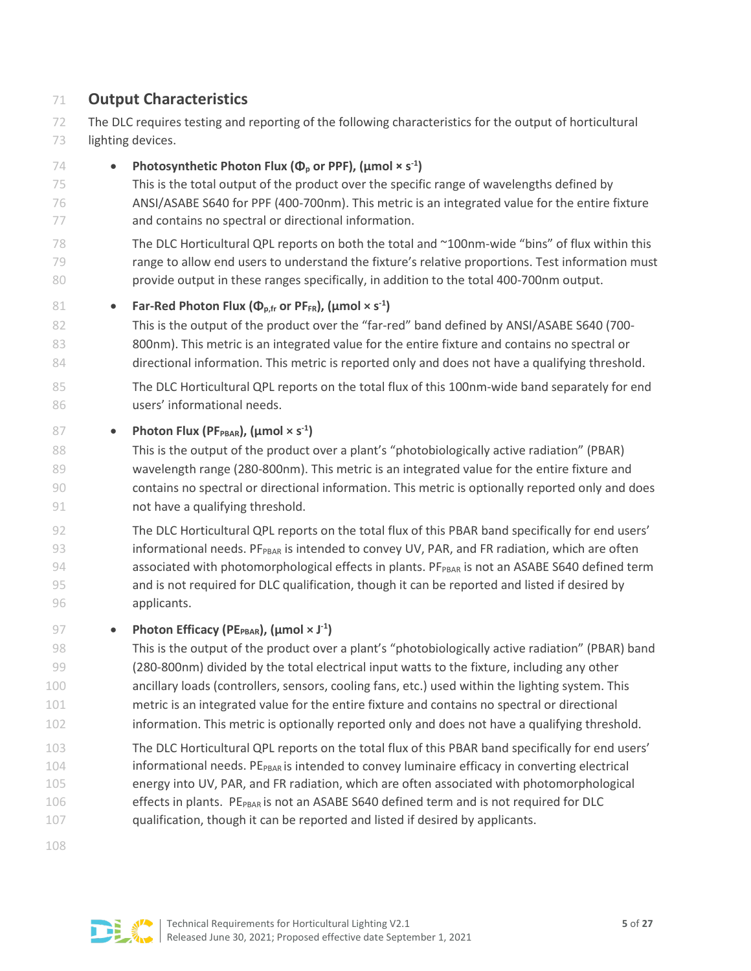# **Output Characteristics**

 The DLC requires testing and reporting of the following characteristics for the output of horticultural lighting devices.

 $74 \cdot P$  **Photosynthetic Photon Flux (** $\Phi$ **p** or PPF), ( $\mu$ mol  $\times$  s<sup>-1</sup>) This is the total output of the product over the specific range of wavelengths defined by ANSI/ASABE S640 for PPF (400-700nm). This metric is an integrated value for the entire fixture and contains no spectral or directional information. The DLC Horticultural QPL reports on both the total and ~100nm-wide "bins" of flux within this range to allow end users to understand the fixture's relative proportions. Test information must provide output in these ranges specifically, in addition to the total 400-700nm output. • **Far-Red Photon Flux (Φ<sub>p,fr</sub> or PF<sub>FR</sub>), (μmol × s<sup>-1</sup>)</del>**  This is the output of the product over the "far-red" band defined by ANSI/ASABE S640 (700- 83 800nm). This metric is an integrated value for the entire fixture and contains no spectral or 84 directional information. This metric is reported only and does not have a qualifying threshold. The DLC Horticultural QPL reports on the total flux of this 100nm-wide band separately for end **users' informational needs.** 87 • **Photon Flux (PF<sub>PBAR</sub>), (µmol × s<sup>-1</sup>)** 88 This is the output of the product over a plant's "photobiologically active radiation" (PBAR) wavelength range (280-800nm). This metric is an integrated value for the entire fixture and contains no spectral or directional information. This metric is optionally reported only and does not have a qualifying threshold. The DLC Horticultural QPL reports on the total flux of this PBAR band specifically for end users' 93 informational needs. PF $_{PBAR}$  is intended to convey UV, PAR, and FR radiation, which are often 94 associated with photomorphological effects in plants. PF<sub>PBAR</sub> is not an ASABE S640 defined term and is not required for DLC qualification, though it can be reported and listed if desired by applicants. **• Photon Efficacy (PE<sub>PBAR</sub>), (µmol × J<sup>-1</sup>)**  This is the output of the product over a plant's "photobiologically active radiation" (PBAR) band (280-800nm) divided by the total electrical input watts to the fixture, including any other ancillary loads (controllers, sensors, cooling fans, etc.) used within the lighting system. This metric is an integrated value for the entire fixture and contains no spectral or directional information. This metric is optionally reported only and does not have a qualifying threshold. The DLC Horticultural QPL reports on the total flux of this PBAR band specifically for end users' informational needs. PE<sub>PBAR</sub> is intended to convey luminaire efficacy in converting electrical energy into UV, PAR, and FR radiation, which are often associated with photomorphological 106 effects in plants. PE<sub>PBAR</sub> is not an ASABE S640 defined term and is not required for DLC qualification, though it can be reported and listed if desired by applicants. 

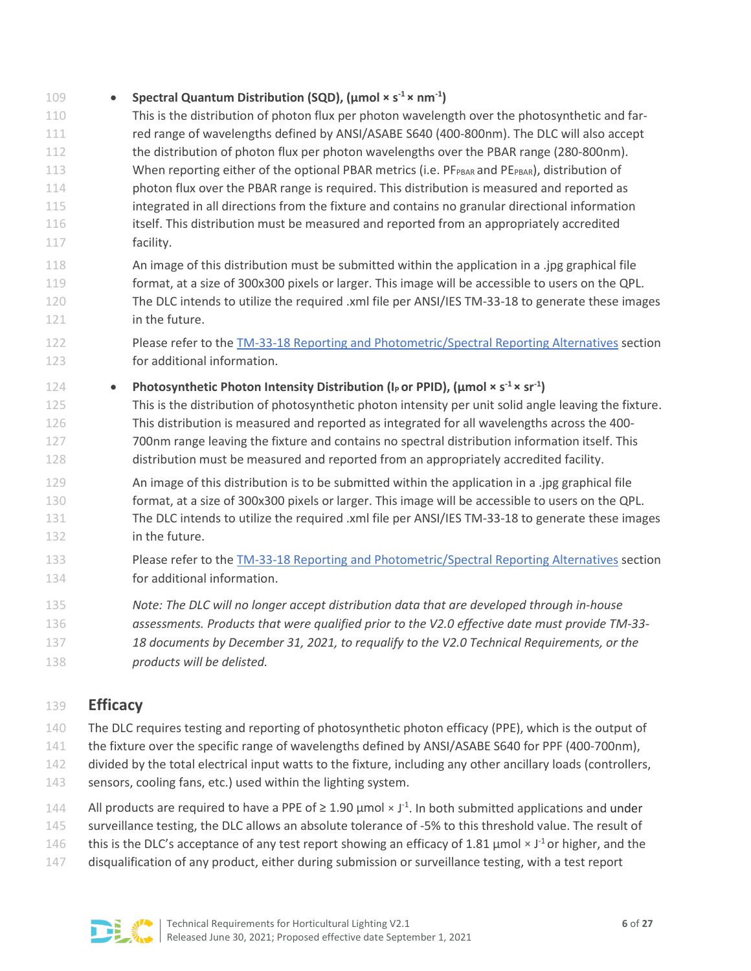• **Spectral Quantum Distribution (SQD), (µmol × s-1 × nm-1 )** This is the distribution of photon flux per photon wavelength over the photosynthetic and far- red range of wavelengths defined by ANSI/ASABE S640 (400-800nm). The DLC will also accept 112 the distribution of photon flux per photon wavelengths over the PBAR range (280-800nm). 113 When reporting either of the optional PBAR metrics (i.e.  $PF_{PBA}$  and  $PE_{PBAR}$ ), distribution of 114 photon flux over the PBAR range is required. This distribution is measured and reported as integrated in all directions from the fixture and contains no granular directional information 116 itself. This distribution must be measured and reported from an appropriately accredited facility. An image of this distribution must be submitted within the application in a .jpg graphical file format, at a size of 300x300 pixels or larger. This image will be accessible to users on the QPL. The DLC intends to utilize the required .xml file per ANSI/IES TM-33-18 to generate these images **in the future.**  Please refer to the [TM-33-18 Reporting and Photometric/Spectral Reporting](#page-24-0) Alternatives section for additional information. • **Photosynthetic Photon Intensity Distribution (I<sub>P</sub> or PPID), (µmol**  $\times$  **s<sup>-1</sup>**  $\times$  **sr<sup>-1</sup>)**  This is the distribution of photosynthetic photon intensity per unit solid angle leaving the fixture. This distribution is measured and reported as integrated for all wavelengths across the 400- 700nm range leaving the fixture and contains no spectral distribution information itself. This distribution must be measured and reported from an appropriately accredited facility. An image of this distribution is to be submitted within the application in a .jpg graphical file format, at a size of 300x300 pixels or larger. This image will be accessible to users on the QPL. The DLC intends to utilize the required .xml file per ANSI/IES TM-33-18 to generate these images in the future. Please refer to the [TM-33-18 Reporting and Photometric/Spectral Reporting Alternatives](#page-24-0) section for additional information. *Note: The DLC will no longer accept distribution data that are developed through in-house assessments. Products that were qualified prior to the V2.0 effective date must provide TM-33- 18 documents by December 31, 2021, to requalify to the V2.0 Technical Requirements, or the products will be delisted.*

# **Efficacy**

- The DLC requires testing and reporting of photosynthetic photon efficacy (PPE), which is the output of
- the fixture over the specific range of wavelengths defined by ANSI/ASABE S640 for PPF (400-700nm),
- 142 divided by the total electrical input watts to the fixture, including any other ancillary loads (controllers,
- 143 sensors, cooling fans, etc.) used within the lighting system.
- 144 All products are required to have a PPE of  $\geq 1.90$  µmol  $\times$  J<sup>-1</sup>. In both submitted applications and under
- 145 surveillance testing, the DLC allows an absolute tolerance of -5% to this threshold value. The result of
- 146 this is the DLC's acceptance of any test report showing an efficacy of 1.81  $\mu$ mol  $\times$  J<sup>-1</sup> or higher, and the
- 147 disqualification of any product, either during submission or surveillance testing, with a test report

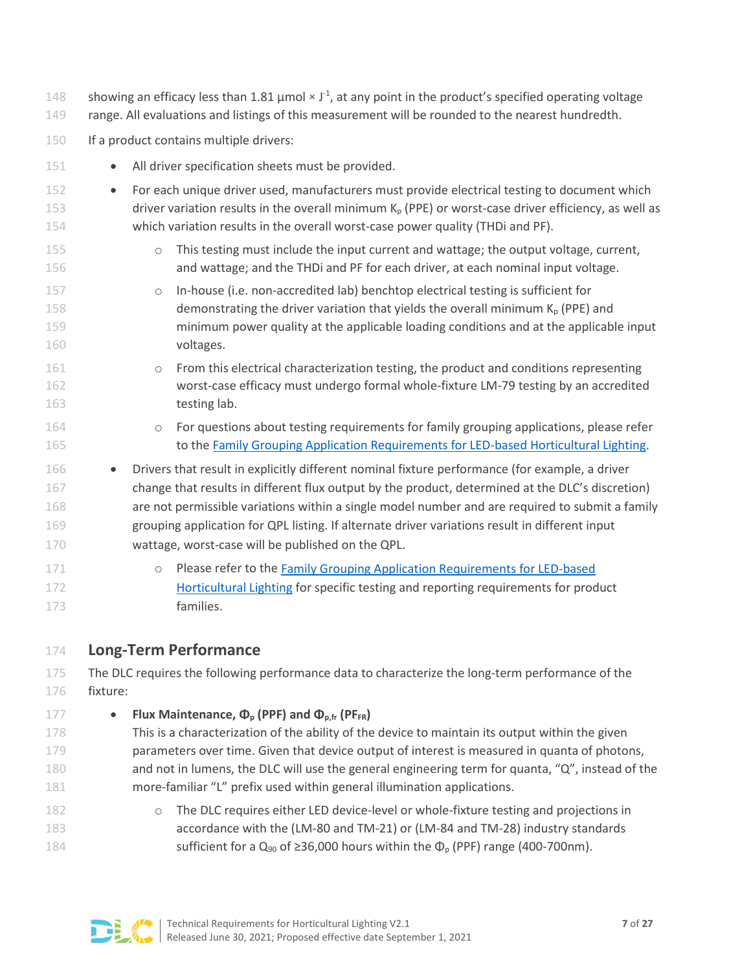- 148 showing an efficacy less than 1.81  $\mu$ mol  $\times$  J<sup>-1</sup>, at any point in the product's specified operating voltage
- 149 range. All evaluations and listings of this measurement will be rounded to the nearest hundredth.
- 150 If a product contains multiple drivers:

| 151 | All driver specification sheets must be provided.<br>$\bullet$                                                |
|-----|---------------------------------------------------------------------------------------------------------------|
| 152 | For each unique driver used, manufacturers must provide electrical testing to document which<br>$\bullet$     |
| 153 | driver variation results in the overall minimum $K_p$ (PPE) or worst-case driver efficiency, as well as       |
| 154 | which variation results in the overall worst-case power quality (THDi and PF).                                |
| 155 | This testing must include the input current and wattage; the output voltage, current,<br>$\circ$              |
| 156 | and wattage; and the THDi and PF for each driver, at each nominal input voltage.                              |
| 157 | In-house (i.e. non-accredited lab) benchtop electrical testing is sufficient for<br>$\circ$                   |
| 158 | demonstrating the driver variation that yields the overall minimum K <sub>o</sub> (PPE) and                   |
| 159 | minimum power quality at the applicable loading conditions and at the applicable input                        |
| 160 | voltages.                                                                                                     |
| 161 | From this electrical characterization testing, the product and conditions representing<br>$\circlearrowright$ |
| 162 | worst-case efficacy must undergo formal whole-fixture LM-79 testing by an accredited                          |
| 163 | testing lab.                                                                                                  |
| 164 | For questions about testing requirements for family grouping applications, please refer<br>$\circ$            |
| 165 | to the Family Grouping Application Requirements for LED-based Horticultural Lighting.                         |
| 166 | Drivers that result in explicitly different nominal fixture performance (for example, a driver<br>$\bullet$   |
| 167 | change that results in different flux output by the product, determined at the DLC's discretion)              |
| 168 | are not permissible variations within a single model number and are required to submit a family               |
| 169 | grouping application for QPL listing. If alternate driver variations result in different input                |
| 170 | wattage, worst-case will be published on the QPL.                                                             |
| 171 | Please refer to the Family Grouping Application Requirements for LED-based<br>$\circ$                         |
| 172 | Horticultural Lighting for specific testing and reporting requirements for product                            |
| 173 | families.                                                                                                     |
|     |                                                                                                               |

### **Long-Term Performance**

175 The DLC requires the following performance data to characterize the long-term performance of the fixture:

- **Flux Maintenance, Φ<sup>p</sup> (PPF) and Φp,fr (PFFR)**
- This is a characterization of the ability of the device to maintain its output within the given parameters over time. Given that device output of interest is measured in quanta of photons, and not in lumens, the DLC will use the general engineering term for quanta, "Q", instead of the more-familiar "L" prefix used within general illumination applications.
- 182 o The DLC requires either LED device-level or whole-fixture testing and projections in accordance with the (LM-80 and TM-21) or (LM-84 and TM-28) industry standards 184 sufficient for a  $Q_{90}$  of  $\geq 36,000$  hours within the  $\Phi_{p}$  (PPF) range (400-700nm).

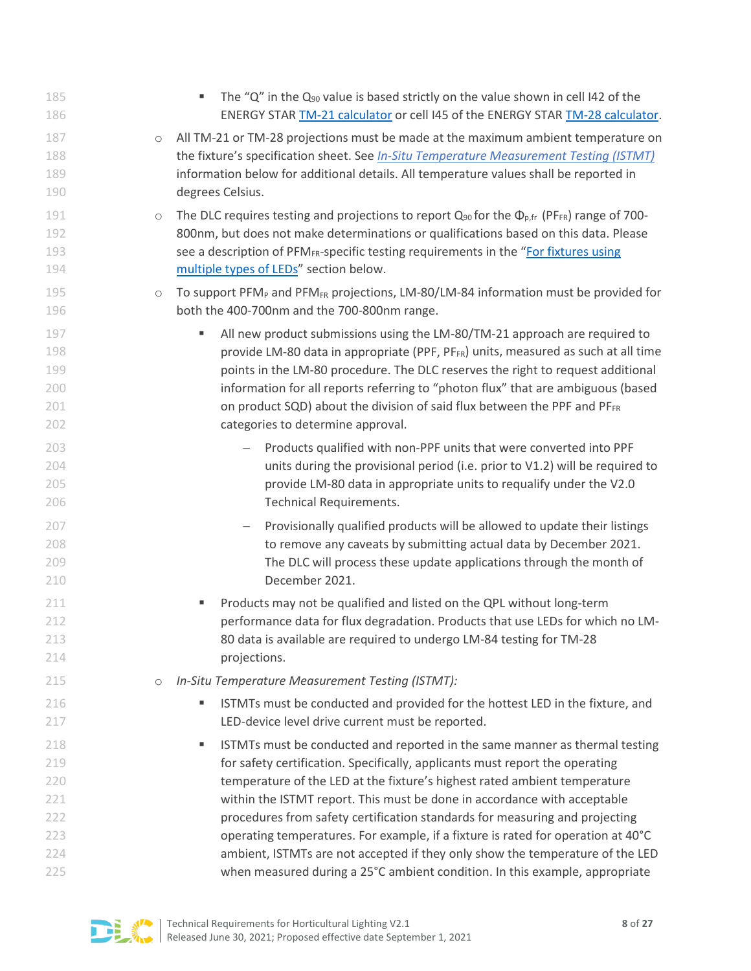| 185<br>186 |                     | The " $Q$ " in the $Q_{90}$ value is based strictly on the value shown in cell I42 of the<br>ENERGY STAR TM-21 calculator or cell I45 of the ENERGY STAR TM-28 calculator. |
|------------|---------------------|----------------------------------------------------------------------------------------------------------------------------------------------------------------------------|
| 187        | $\circ$             | All TM-21 or TM-28 projections must be made at the maximum ambient temperature on                                                                                          |
| 188        |                     | the fixture's specification sheet. See In-Situ Temperature Measurement Testing (ISTMT)                                                                                     |
| 189        |                     | information below for additional details. All temperature values shall be reported in                                                                                      |
| 190        |                     | degrees Celsius.                                                                                                                                                           |
| 191        | $\circlearrowright$ | The DLC requires testing and projections to report $Q_{90}$ for the $\Phi_{p,fr}$ (PF <sub>FR</sub> ) range of 700-                                                        |
| 192        |                     | 800nm, but does not make determinations or qualifications based on this data. Please                                                                                       |
| 193        |                     | see a description of PFM <sub>FR</sub> -specific testing requirements in the "For fixtures using                                                                           |
| 194        |                     | multiple types of LEDs" section below.                                                                                                                                     |
| 195        | $\circlearrowright$ | To support PFM <sub>P</sub> and PFM <sub>FR</sub> projections, LM-80/LM-84 information must be provided for                                                                |
| 196        |                     | both the 400-700nm and the 700-800nm range.                                                                                                                                |
| 197        |                     | All new product submissions using the LM-80/TM-21 approach are required to                                                                                                 |
| 198        |                     | provide LM-80 data in appropriate (PPF, PFFR) units, measured as such at all time                                                                                          |
| 199        |                     | points in the LM-80 procedure. The DLC reserves the right to request additional                                                                                            |
| 200        |                     | information for all reports referring to "photon flux" that are ambiguous (based                                                                                           |
| 201        |                     | on product SQD) about the division of said flux between the PPF and PFFR                                                                                                   |
| 202        |                     | categories to determine approval.                                                                                                                                          |
| 203        |                     | Products qualified with non-PPF units that were converted into PPF                                                                                                         |
| 204        |                     | units during the provisional period (i.e. prior to V1.2) will be required to                                                                                               |
| 205        |                     | provide LM-80 data in appropriate units to requalify under the V2.0                                                                                                        |
| 206        |                     | <b>Technical Requirements.</b>                                                                                                                                             |
| 207        |                     | Provisionally qualified products will be allowed to update their listings<br>$\overline{\phantom{m}}$                                                                      |
| 208        |                     | to remove any caveats by submitting actual data by December 2021.                                                                                                          |
| 209        |                     | The DLC will process these update applications through the month of                                                                                                        |
| 210        |                     | December 2021.                                                                                                                                                             |
| 211        |                     | Products may not be qualified and listed on the QPL without long-term<br>٠                                                                                                 |
| 212        |                     | performance data for flux degradation. Products that use LEDs for which no LM-                                                                                             |
| 213        |                     | 80 data is available are required to undergo LM-84 testing for TM-28                                                                                                       |
| 214        |                     | projections.                                                                                                                                                               |
| 215        | $\circ$             | In-Situ Temperature Measurement Testing (ISTMT):                                                                                                                           |
| 216        |                     | ISTMTs must be conducted and provided for the hottest LED in the fixture, and<br>٠                                                                                         |
| 217        |                     | LED-device level drive current must be reported.                                                                                                                           |
| 218        |                     | ISTMTs must be conducted and reported in the same manner as thermal testing<br>٠                                                                                           |
| 219        |                     | for safety certification. Specifically, applicants must report the operating                                                                                               |
| 220        |                     | temperature of the LED at the fixture's highest rated ambient temperature                                                                                                  |
| 221        |                     | within the ISTMT report. This must be done in accordance with acceptable                                                                                                   |
| 222        |                     | procedures from safety certification standards for measuring and projecting                                                                                                |
| 223        |                     | operating temperatures. For example, if a fixture is rated for operation at 40°C                                                                                           |
| 224        |                     | ambient, ISTMTs are not accepted if they only show the temperature of the LED                                                                                              |
| 225        |                     | when measured during a 25°C ambient condition. In this example, appropriate                                                                                                |

<span id="page-7-0"></span>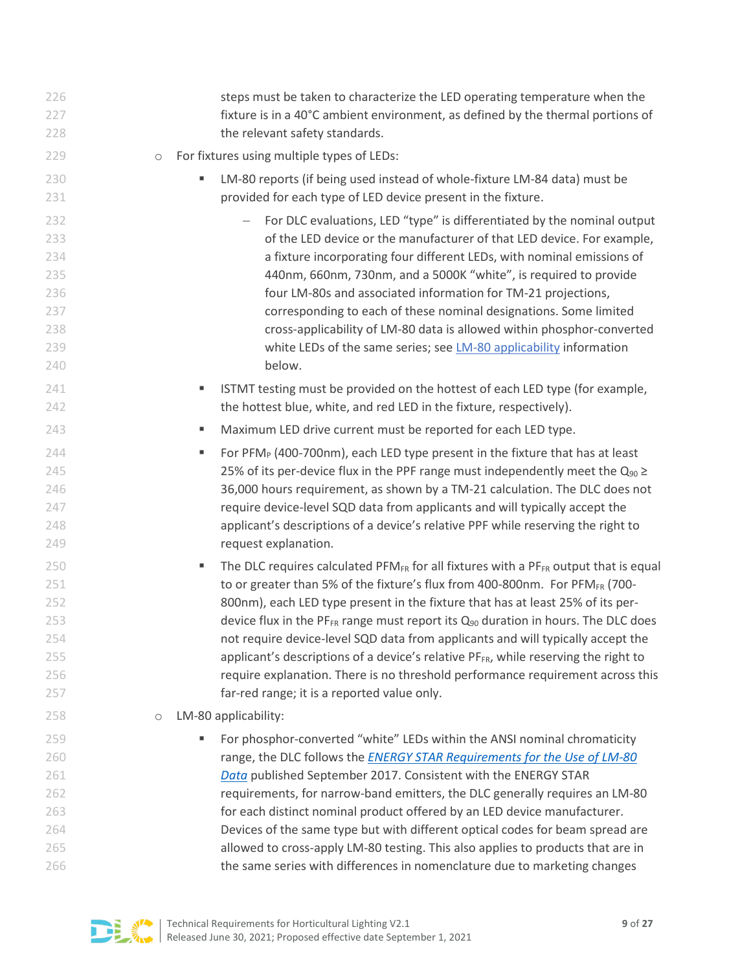<span id="page-8-0"></span>

| 226 | steps must be taken to characterize the LED operating temperature when the<br>fixture is in a 40°C ambient environment, as defined by the thermal portions of |
|-----|---------------------------------------------------------------------------------------------------------------------------------------------------------------|
| 227 |                                                                                                                                                               |
| 228 | the relevant safety standards.                                                                                                                                |
| 229 | For fixtures using multiple types of LEDs:<br>$\bigcirc$                                                                                                      |
| 230 | LM-80 reports (if being used instead of whole-fixture LM-84 data) must be                                                                                     |
| 231 | provided for each type of LED device present in the fixture.                                                                                                  |
| 232 | For DLC evaluations, LED "type" is differentiated by the nominal output                                                                                       |
| 233 | of the LED device or the manufacturer of that LED device. For example,                                                                                        |
| 234 | a fixture incorporating four different LEDs, with nominal emissions of                                                                                        |
| 235 | 440nm, 660nm, 730nm, and a 5000K "white", is required to provide                                                                                              |
| 236 | four LM-80s and associated information for TM-21 projections,                                                                                                 |
| 237 | corresponding to each of these nominal designations. Some limited                                                                                             |
| 238 | cross-applicability of LM-80 data is allowed within phosphor-converted                                                                                        |
| 239 | white LEDs of the same series; see LM-80 applicability information                                                                                            |
| 240 | below.                                                                                                                                                        |
| 241 | ISTMT testing must be provided on the hottest of each LED type (for example,<br>٠                                                                             |
| 242 | the hottest blue, white, and red LED in the fixture, respectively).                                                                                           |
| 243 | Maximum LED drive current must be reported for each LED type.<br>٠                                                                                            |
| 244 | For PFM <sub>P</sub> (400-700nm), each LED type present in the fixture that has at least<br>٠                                                                 |
| 245 | 25% of its per-device flux in the PPF range must independently meet the $Q_{90} \ge$                                                                          |
| 246 | 36,000 hours requirement, as shown by a TM-21 calculation. The DLC does not                                                                                   |
| 247 | require device-level SQD data from applicants and will typically accept the                                                                                   |
| 248 | applicant's descriptions of a device's relative PPF while reserving the right to                                                                              |
| 249 | request explanation.                                                                                                                                          |
| 250 | The DLC requires calculated PFM <sub>FR</sub> for all fixtures with a PF <sub>FR</sub> output that is equal<br>٠                                              |
| 251 | to or greater than 5% of the fixture's flux from 400-800nm. For PFM <sub>FR</sub> (700-                                                                       |
| 252 | 800nm), each LED type present in the fixture that has at least 25% of its per-                                                                                |
| 253 | device flux in the PF <sub>FR</sub> range must report its $Q_{90}$ duration in hours. The DLC does                                                            |
| 254 | not require device-level SQD data from applicants and will typically accept the                                                                               |
| 255 | applicant's descriptions of a device's relative PFFR, while reserving the right to                                                                            |
| 256 | require explanation. There is no threshold performance requirement across this                                                                                |
| 257 | far-red range; it is a reported value only.                                                                                                                   |
| 258 | LM-80 applicability:<br>$\circlearrowright$                                                                                                                   |
| 259 | For phosphor-converted "white" LEDs within the ANSI nominal chromaticity                                                                                      |
| 260 | range, the DLC follows the ENERGY STAR Requirements for the Use of LM-80                                                                                      |
| 261 | Data published September 2017. Consistent with the ENERGY STAR                                                                                                |
| 262 | requirements, for narrow-band emitters, the DLC generally requires an LM-80                                                                                   |
| 263 | for each distinct nominal product offered by an LED device manufacturer.                                                                                      |
| 264 | Devices of the same type but with different optical codes for beam spread are                                                                                 |
| 265 | allowed to cross-apply LM-80 testing. This also applies to products that are in                                                                               |
| 266 | the same series with differences in nomenclature due to marketing changes                                                                                     |

<span id="page-8-1"></span>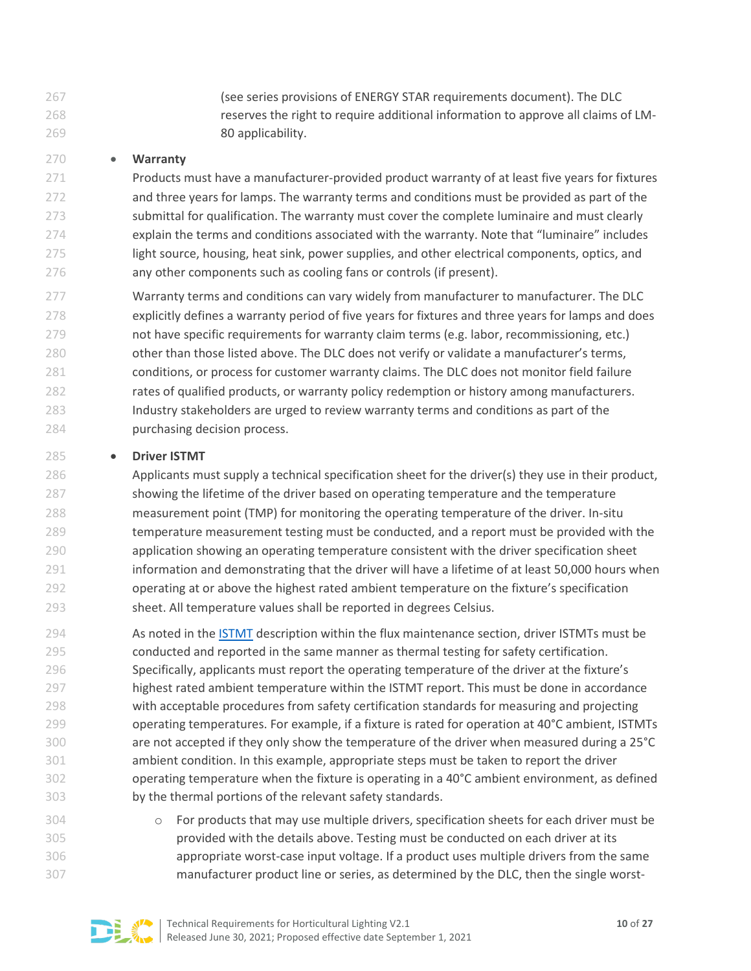(see series provisions of ENERGY STAR requirements document). The DLC reserves the right to require additional information to approve all claims of LM-80 applicability.

#### • **Warranty**

 Products must have a manufacturer-provided product warranty of at least five years for fixtures and three years for lamps. The warranty terms and conditions must be provided as part of the submittal for qualification. The warranty must cover the complete luminaire and must clearly explain the terms and conditions associated with the warranty. Note that "luminaire" includes light source, housing, heat sink, power supplies, and other electrical components, optics, and any other components such as cooling fans or controls (if present).

277 Warranty terms and conditions can vary widely from manufacturer to manufacturer. The DLC explicitly defines a warranty period of five years for fixtures and three years for lamps and does not have specific requirements for warranty claim terms (e.g. labor, recommissioning, etc.) other than those listed above. The DLC does not verify or validate a manufacturer's terms, conditions, or process for customer warranty claims. The DLC does not monitor field failure 282 rates of qualified products, or warranty policy redemption or history among manufacturers. Industry stakeholders are urged to review warranty terms and conditions as part of the purchasing decision process.

#### • **Driver ISTMT**

 Applicants must supply a technical specification sheet for the driver(s) they use in their product, 287 showing the lifetime of the driver based on operating temperature and the temperature measurement point (TMP) for monitoring the operating temperature of the driver. In-situ 289 temperature measurement testing must be conducted, and a report must be provided with the application showing an operating temperature consistent with the driver specification sheet 291 information and demonstrating that the driver will have a lifetime of at least 50,000 hours when operating at or above the highest rated ambient temperature on the fixture's specification sheet. All temperature values shall be reported in degrees Celsius.

 As noted in the [ISTMT](#page-7-0) description within the flux maintenance section, driver ISTMTs must be conducted and reported in the same manner as thermal testing for safety certification. Specifically, applicants must report the operating temperature of the driver at the fixture's highest rated ambient temperature within the ISTMT report. This must be done in accordance with acceptable procedures from safety certification standards for measuring and projecting operating temperatures. For example, if a fixture is rated for operation at 40°C ambient, ISTMTs are not accepted if they only show the temperature of the driver when measured during a 25°C ambient condition. In this example, appropriate steps must be taken to report the driver operating temperature when the fixture is operating in a 40°C ambient environment, as defined by the thermal portions of the relevant safety standards.

 o For products that may use multiple drivers, specification sheets for each driver must be provided with the details above. Testing must be conducted on each driver at its appropriate worst-case input voltage. If a product uses multiple drivers from the same manufacturer product line or series, as determined by the DLC, then the single worst-

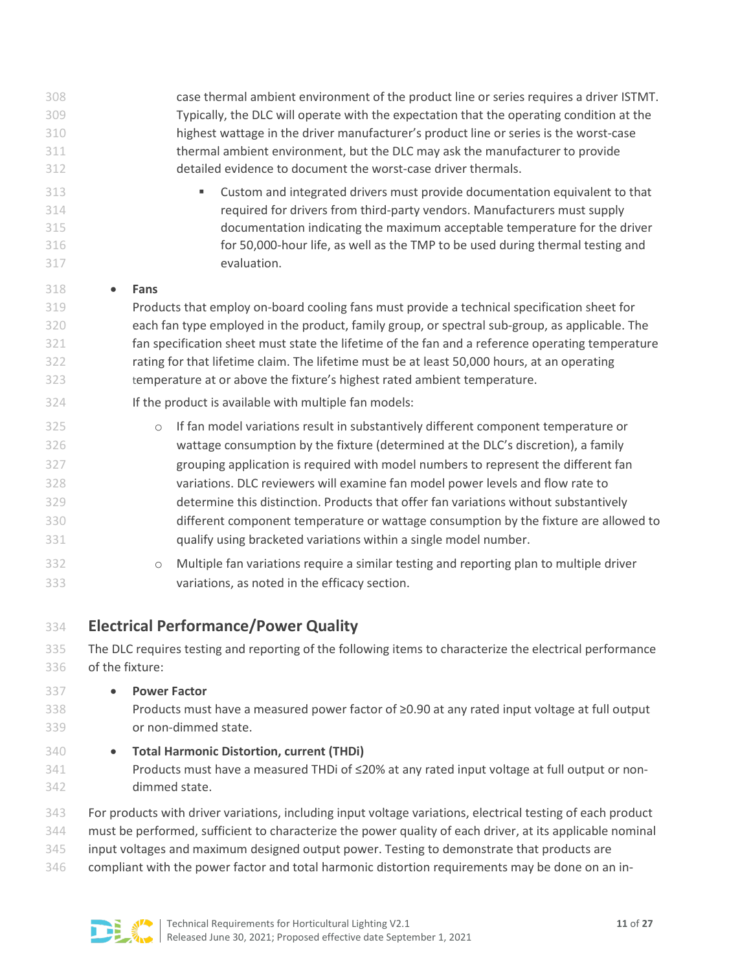| 308        | case thermal ambient environment of the product line or series requires a driver ISTMT.                                     |
|------------|-----------------------------------------------------------------------------------------------------------------------------|
| 309        | Typically, the DLC will operate with the expectation that the operating condition at the                                    |
| 310        | highest wattage in the driver manufacturer's product line or series is the worst-case                                       |
| 311        | thermal ambient environment, but the DLC may ask the manufacturer to provide                                                |
| 312        | detailed evidence to document the worst-case driver thermals.                                                               |
| 313        | Custom and integrated drivers must provide documentation equivalent to that<br>٠                                            |
| 314        | required for drivers from third-party vendors. Manufacturers must supply                                                    |
| 315        | documentation indicating the maximum acceptable temperature for the driver                                                  |
| 316        | for 50,000-hour life, as well as the TMP to be used during thermal testing and                                              |
| 317        | evaluation.                                                                                                                 |
| 318        | Fans<br>$\bullet$                                                                                                           |
| 319        | Products that employ on-board cooling fans must provide a technical specification sheet for                                 |
| 320        | each fan type employed in the product, family group, or spectral sub-group, as applicable. The                              |
| 321        | fan specification sheet must state the lifetime of the fan and a reference operating temperature                            |
| 322        | rating for that lifetime claim. The lifetime must be at least 50,000 hours, at an operating                                 |
| 323        | temperature at or above the fixture's highest rated ambient temperature.                                                    |
| 324        | If the product is available with multiple fan models:                                                                       |
| 325        | If fan model variations result in substantively different component temperature or<br>$\bigcirc$                            |
| 326        | wattage consumption by the fixture (determined at the DLC's discretion), a family                                           |
| 327        | grouping application is required with model numbers to represent the different fan                                          |
| 328        | variations. DLC reviewers will examine fan model power levels and flow rate to                                              |
| 329        | determine this distinction. Products that offer fan variations without substantively                                        |
| 330        | different component temperature or wattage consumption by the fixture are allowed to                                        |
| 331        | qualify using bracketed variations within a single model number.                                                            |
| 332        | Multiple fan variations require a similar testing and reporting plan to multiple driver<br>$\circ$                          |
| 333        | variations, as noted in the efficacy section.                                                                               |
| 334        | <b>Electrical Performance/Power Quality</b>                                                                                 |
|            |                                                                                                                             |
| 335<br>336 | The DLC requires testing and reporting of the following items to characterize the electrical performance<br>of the fixture: |
|            |                                                                                                                             |
| 337        | <b>Power Factor</b><br>$\bullet$                                                                                            |
| 338        | Products must have a measured power factor of ≥0.90 at any rated input voltage at full output                               |
| 339        | or non-dimmed state.                                                                                                        |
| 340        | <b>Total Harmonic Distortion, current (THDi)</b><br>$\bullet$                                                               |
| 341        | Products must have a measured THDi of ≤20% at any rated input voltage at full output or non-                                |
| 342        | dimmed state.                                                                                                               |
| 343        | For products with driver variations, including input voltage variations, electrical testing of each product                 |
| 344        | must be performed, sufficient to characterize the power quality of each driver, at its applicable nominal                   |
| 345        | input voltages and maximum designed output power. Testing to demonstrate that products are                                  |

compliant with the power factor and total harmonic distortion requirements may be done on an in-

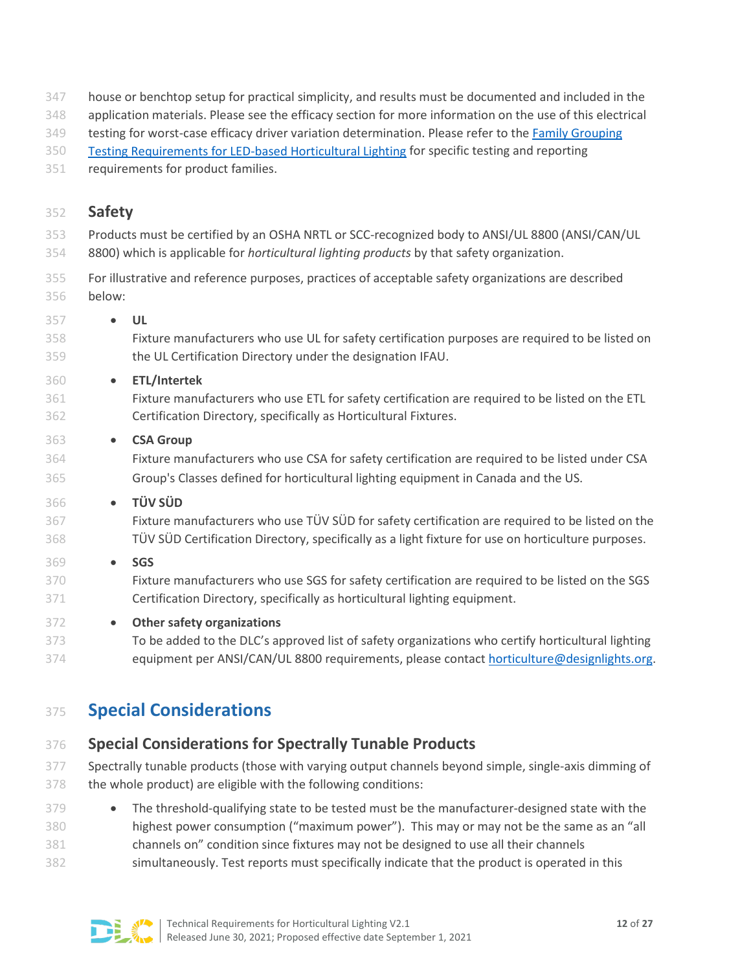- house or benchtop setup for practical simplicity, and results must be documented and included in the
- application materials. Please see the efficacy section for more information on the use of this electrical
- testing for worst-case efficacy driver variation determination. Please refer to the [Family Grouping](https://www.designlights.org/workplan/horticultural-technical-requirements-v2-0/horticultural-family-grouping-policy-v2-0)
- [Testing Requirements for LED-based Horticultural Lighting](https://www.designlights.org/workplan/horticultural-technical-requirements-v2-0/horticultural-family-grouping-policy-v2-0) for specific testing and reporting
- requirements for product families.

### **Safety**

- Products must be certified by an OSHA NRTL or SCC-recognized body to ANSI/UL 8800 (ANSI/CAN/UL 8800) which is applicable for *horticultural lighting products* by that safety organization.
- For illustrative and reference purposes, practices of acceptable safety organizations are described below:
- **UL** Fixture manufacturers who use UL for safety certification purposes are required to be listed on the UL Certification Directory under the designation IFAU. • **ETL/Intertek** Fixture manufacturers who use ETL for safety certification are required to be listed on the ETL Certification Directory, specifically as Horticultural Fixtures. • **CSA Group** Fixture manufacturers who use CSA for safety certification are required to be listed under CSA Group's Classes defined for horticultural lighting equipment in Canada and the US. • **TÜV SÜD** Fixture manufacturers who use TÜV SÜD for safety certification are required to be listed on the TÜV SÜD Certification Directory, specifically as a light fixture for use on horticulture purposes. • **SGS** Fixture manufacturers who use SGS for safety certification are required to be listed on the SGS Certification Directory, specifically as horticultural lighting equipment. • **Other safety organizations** To be added to the DLC's approved list of safety organizations who certify horticultural lighting
- 

# **Special Considerations**

# **Special Considerations for Spectrally Tunable Products**

 Spectrally tunable products (those with varying output channels beyond simple, single-axis dimming of the whole product) are eligible with the following conditions:

374 equipment per ANSI/CAN/UL 8800 requirements, please contact [horticulture@designlights.org.](mailto:horticulture@designlights.org)

- 379 The threshold-qualifying state to be tested must be the manufacturer-designed state with the highest power consumption ("maximum power"). This may or may not be the same as an "all channels on" condition since fixtures may not be designed to use all their channels simultaneously. Test reports must specifically indicate that the product is operated in this
	-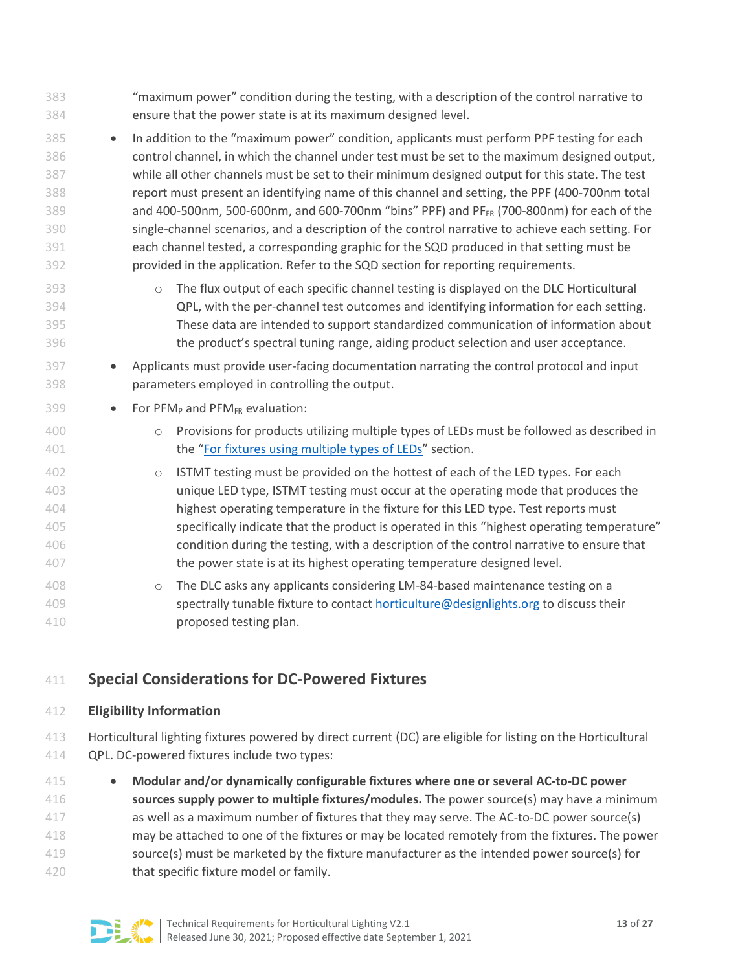| 383              | "maximum power" condition during the testing, with a description of the control narrative to            |
|------------------|---------------------------------------------------------------------------------------------------------|
| 384              | ensure that the power state is at its maximum designed level.                                           |
| 385<br>$\bullet$ | In addition to the "maximum power" condition, applicants must perform PPF testing for each              |
| 386              | control channel, in which the channel under test must be set to the maximum designed output,            |
| 387              | while all other channels must be set to their minimum designed output for this state. The test          |
| 388              | report must present an identifying name of this channel and setting, the PPF (400-700nm total           |
| 389              | and 400-500nm, 500-600nm, and 600-700nm "bins" PPF) and PFFR (700-800nm) for each of the                |
| 390              | single-channel scenarios, and a description of the control narrative to achieve each setting. For       |
| 391              | each channel tested, a corresponding graphic for the SQD produced in that setting must be               |
| 392              | provided in the application. Refer to the SQD section for reporting requirements.                       |
| 393              | The flux output of each specific channel testing is displayed on the DLC Horticultural<br>$\circ$       |
| 394              | QPL, with the per-channel test outcomes and identifying information for each setting.                   |
| 395              | These data are intended to support standardized communication of information about                      |
| 396              | the product's spectral tuning range, aiding product selection and user acceptance.                      |
| 397<br>$\bullet$ | Applicants must provide user-facing documentation narrating the control protocol and input              |
| 398              | parameters employed in controlling the output.                                                          |
| 399<br>$\bullet$ | For PFM <sub>P</sub> and PFM <sub>FR</sub> evaluation:                                                  |
| 400              | Provisions for products utilizing multiple types of LEDs must be followed as described in<br>$\circ$    |
| 401              | the "For fixtures using multiple types of LEDs" section.                                                |
| 402              | ISTMT testing must be provided on the hottest of each of the LED types. For each<br>$\circlearrowright$ |
| 403              | unique LED type, ISTMT testing must occur at the operating mode that produces the                       |
| 404              | highest operating temperature in the fixture for this LED type. Test reports must                       |
| 405              | specifically indicate that the product is operated in this "highest operating temperature"              |
| 406              | condition during the testing, with a description of the control narrative to ensure that                |
| 407              | the power state is at its highest operating temperature designed level.                                 |
| 408              | The DLC asks any applicants considering LM-84-based maintenance testing on a<br>$\circlearrowright$     |
| 409              | spectrally tunable fixture to contact horticulture@designlights.org to discuss their                    |
| 410              | proposed testing plan.                                                                                  |

# **Special Considerations for DC-Powered Fixtures**

#### **Eligibility Information**

 Horticultural lighting fixtures powered by direct current (DC) are eligible for listing on the Horticultural QPL. DC-powered fixtures include two types:

 • **Modular and/or dynamically configurable fixtures where one or several AC-to-DC power sources supply power to multiple fixtures/modules.** The power source(s) may have a minimum as well as a maximum number of fixtures that they may serve. The AC-to-DC power source(s) may be attached to one of the fixtures or may be located remotely from the fixtures. The power source(s) must be marketed by the fixture manufacturer as the intended power source(s) for that specific fixture model or family.

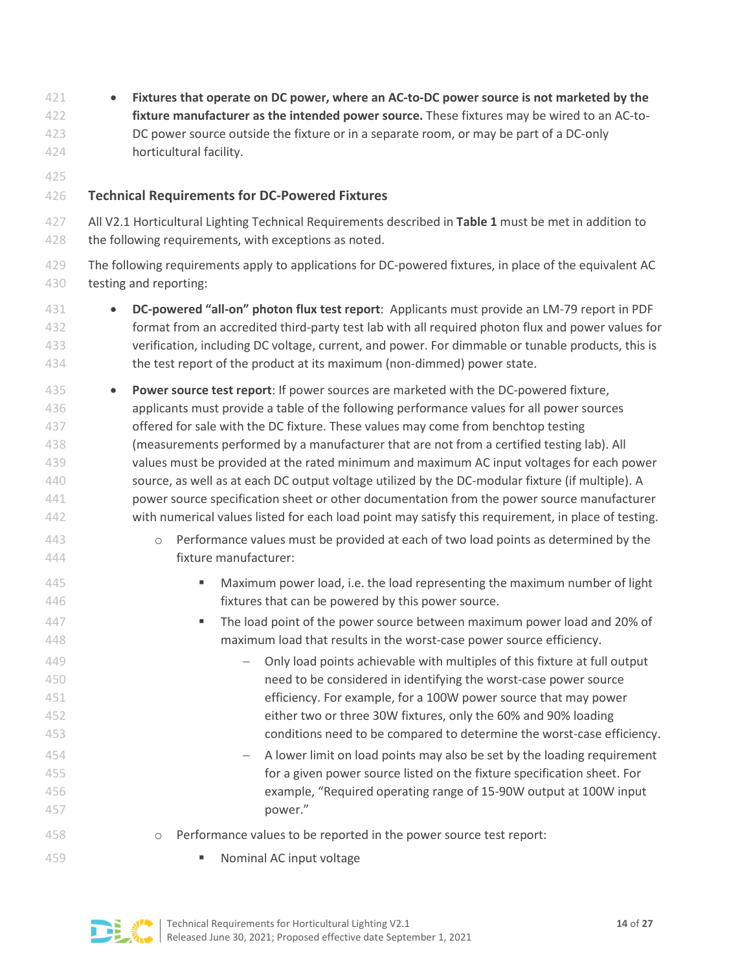• **Fixtures that operate on DC power, where an AC-to-DC power source is not marketed by the** 

- **fixture manufacturer as the intended power source.** These fixtures may be wired to an AC-to- DC power source outside the fixture or in a separate room, or may be part of a DC-only horticultural facility.
- 

### **Technical Requirements for DC-Powered Fixtures**

 All V2.1 Horticultural Lighting Technical Requirements described in **[Table 1](#page-2-0)** must be met in addition to 428 the following requirements, with exceptions as noted.

- The following requirements apply to applications for DC-powered fixtures, in place of the equivalent AC testing and reporting:
- **DC-powered "all-on" photon flux test report**: Applicants must provide an LM-79 report in PDF format from an accredited third-party test lab with all required photon flux and power values for verification, including DC voltage, current, and power. For dimmable or tunable products, this is the test report of the product at its maximum (non-dimmed) power state.
- **Power source test report**: If power sources are marketed with the DC-powered fixture, applicants must provide a table of the following performance values for all power sources offered for sale with the DC fixture. These values may come from benchtop testing (measurements performed by a manufacturer that are not from a certified testing lab). All values must be provided at the rated minimum and maximum AC input voltages for each power source, as well as at each DC output voltage utilized by the DC-modular fixture (if multiple). A power source specification sheet or other documentation from the power source manufacturer with numerical values listed for each load point may satisfy this requirement, in place of testing.
- o Performance values must be provided at each of two load points as determined by the fixture manufacturer:
- Maximum power load, i.e. the load representing the maximum number of light fixtures that can be powered by this power source.
- The load point of the power source between maximum power load and 20% of maximum load that results in the worst-case power source efficiency.
- **Fig.** Coming of the other only load points achievable with multiples of this fixture at full output need to be considered in identifying the worst-case power source efficiency. For example, for a 100W power source that may power either two or three 30W fixtures, only the 60% and 90% loading conditions need to be compared to determine the worst-case efficiency.
- **− A lower limit on load points may also be set by the loading requirement**  for a given power source listed on the fixture specification sheet. For example, "Required operating range of 15-90W output at 100W input power."
- o Performance values to be reported in the power source test report:
- **Nominal AC input voltage**

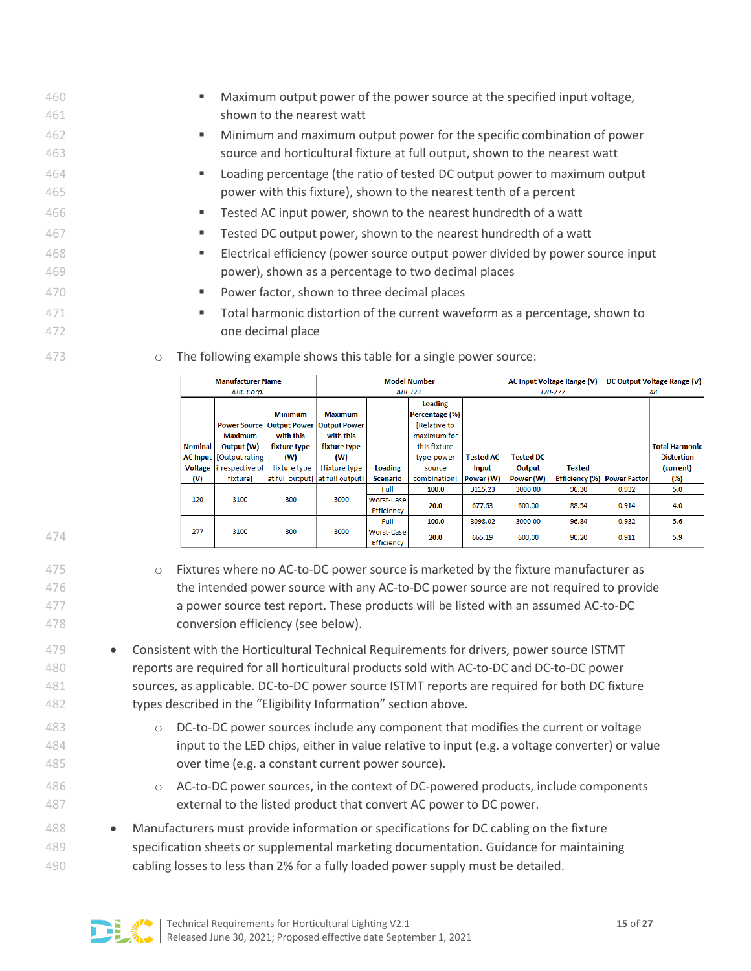- 460 Maximum output power of the power source at the specified input voltage, 461 shown to the nearest watt 462 Minimum and maximum output power for the specific combination of power 463 source and horticultural fixture at full output, shown to the nearest watt 464 Loading percentage (the ratio of tested DC output power to maximum output 465 power with this fixture), shown to the nearest tenth of a percent 466 Tested AC input power, shown to the nearest hundredth of a watt 467 Tested DC output power, shown to the nearest hundredth of a watt 468 Electrical efficiency (power source output power divided by power source input 469 power), shown as a percentage to two decimal places 470 **Power factor, shown to three decimal places** 471 Total harmonic distortion of the current waveform as a percentage, shown to 472 one decimal place
	- **Manufacturer Name Model Number** AC Input Voltage Range (V) | DC Output Voltage Range (V) **ABC Corp ABC123** 120-277 48 Loading **Minimum Maximum** ercentage (%) **Output Powe Power Source Output Power IRelative to Maximum** with this with this maximum for **Nominal** Output (W) fixture type fixture type this fixture **Total Harmoni**  $(W)$ **Tested AC Distortion AC Input** [Output rating  $(W)$ **Tested DC** type-power [fixture type [fixture type (current) **Voltage** irrespective of Loading source Input Output **Tested** at full output] at full output<mark>]</mark> Power (W)  $(V)$ fixture] **Scenario** combination] Power (W) Efficiency (%) Power Facto  $(% )$ 3000.00 Full 100.0 3115.23 96.30 0.932  $5.0$ 3100 120 300 3000 **Worst-Case** 677.63 600.00 88.54 0.914  $4.0$ 20.0 Efficiency Full  $100.0$ 3098.02 3000.00 96.84 0.932  $5.6$ 277 3100 300 3000 Worst-Case  $20.0$ 665.19 600.00 90.20 0.911  $5.9$ **Efficiency**
- 473 **b Combing example shows this table for a single power source:**

- 475 o Fixtures where no AC-to-DC power source is marketed by the fixture manufacturer as 476 the intended power source with any AC-to-DC power source are not required to provide 477 a power source test report. These products will be listed with an assumed AC-to-DC 478 conversion efficiency (see below).
- 479 Consistent with the Horticultural Technical Requirements for drivers, power source ISTMT 480 reports are required for all horticultural products sold with AC-to-DC and DC-to-DC power 481 sources, as applicable. DC-to-DC power source ISTMT reports are required for both DC fixture 482 types described in the "Eligibility Information" section above.
- 483 o DC-to-DC power sources include any component that modifies the current or voltage 484 input to the LED chips, either in value relative to input (e.g. a voltage converter) or value 485 over time (e.g. a constant current power source).
- 486 o AC-to-DC power sources, in the context of DC-powered products, include components 487 external to the listed product that convert AC power to DC power.
- 488 Manufacturers must provide information or specifications for DC cabling on the fixture 489 specification sheets or supplemental marketing documentation. Guidance for maintaining 490 cabling losses to less than 2% for a fully loaded power supply must be detailed.



474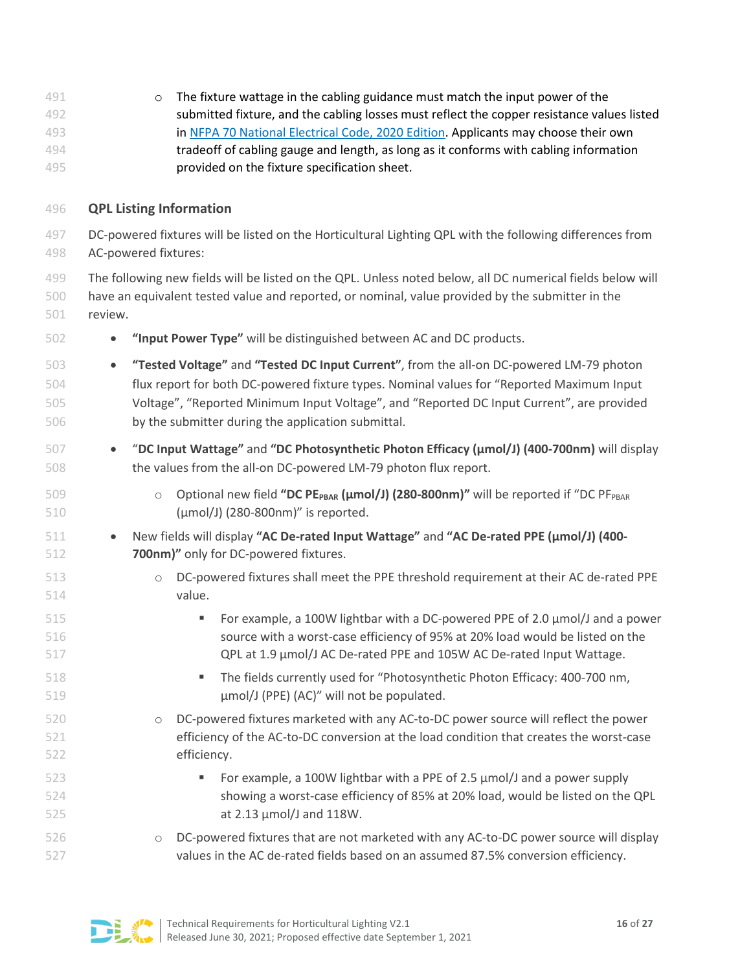| 491<br>492<br>493<br>494<br>495 | The fixture wattage in the cabling guidance must match the input power of the<br>$\circ$<br>submitted fixture, and the cabling losses must reflect the copper resistance values listed<br>in NFPA 70 National Electrical Code, 2020 Edition. Applicants may choose their own<br>tradeoff of cabling gauge and length, as long as it conforms with cabling information<br>provided on the fixture specification sheet. |
|---------------------------------|-----------------------------------------------------------------------------------------------------------------------------------------------------------------------------------------------------------------------------------------------------------------------------------------------------------------------------------------------------------------------------------------------------------------------|
| 496                             | <b>QPL Listing Information</b>                                                                                                                                                                                                                                                                                                                                                                                        |
| 497<br>498                      | DC-powered fixtures will be listed on the Horticultural Lighting QPL with the following differences from<br>AC-powered fixtures:                                                                                                                                                                                                                                                                                      |
| 499<br>500<br>501               | The following new fields will be listed on the QPL. Unless noted below, all DC numerical fields below will<br>have an equivalent tested value and reported, or nominal, value provided by the submitter in the<br>review.                                                                                                                                                                                             |
| 502                             | "Input Power Type" will be distinguished between AC and DC products.<br>$\bullet$                                                                                                                                                                                                                                                                                                                                     |
| 503<br>504<br>505<br>506        | "Tested Voltage" and "Tested DC Input Current", from the all-on DC-powered LM-79 photon<br>$\bullet$<br>flux report for both DC-powered fixture types. Nominal values for "Reported Maximum Input<br>Voltage", "Reported Minimum Input Voltage", and "Reported DC Input Current", are provided<br>by the submitter during the application submittal.                                                                  |
| 507<br>508                      | "DC Input Wattage" and "DC Photosynthetic Photon Efficacy (umol/J) (400-700nm) will display<br>$\bullet$<br>the values from the all-on DC-powered LM-79 photon flux report.                                                                                                                                                                                                                                           |
| 509<br>510                      | Optional new field "DC PE <sub>PBAR</sub> (umol/J) (280-800nm)" will be reported if "DC PF <sub>PBAR</sub><br>$\circ$<br>(µmol/J) (280-800nm)" is reported.                                                                                                                                                                                                                                                           |
| 511<br>512                      | New fields will display "AC De-rated Input Wattage" and "AC De-rated PPE (umol/J) (400-<br>$\bullet$<br>700nm)" only for DC-powered fixtures.                                                                                                                                                                                                                                                                         |
| 513<br>514                      | DC-powered fixtures shall meet the PPE threshold requirement at their AC de-rated PPE<br>$\circ$<br>value.                                                                                                                                                                                                                                                                                                            |
| 515<br>516<br>517               | For example, a 100W lightbar with a DC-powered PPE of 2.0 µmol/J and a power<br>٠<br>source with a worst-case efficiency of 95% at 20% load would be listed on the<br>QPL at 1.9 µmol/J AC De-rated PPE and 105W AC De-rated Input Wattage.                                                                                                                                                                           |
| 518<br>519                      | The fields currently used for "Photosynthetic Photon Efficacy: 400-700 nm,<br>٠<br>µmol/J (PPE) (AC)" will not be populated.                                                                                                                                                                                                                                                                                          |
| 520<br>521<br>522               | DC-powered fixtures marketed with any AC-to-DC power source will reflect the power<br>$\circ$<br>efficiency of the AC-to-DC conversion at the load condition that creates the worst-case<br>efficiency.                                                                                                                                                                                                               |
| 523<br>524<br>525               | For example, a 100W lightbar with a PPE of 2.5 µmol/J and a power supply<br>showing a worst-case efficiency of 85% at 20% load, would be listed on the QPL<br>at 2.13 µmol/J and 118W.                                                                                                                                                                                                                                |
| 526<br>527                      | DC-powered fixtures that are not marketed with any AC-to-DC power source will display<br>$\circ$<br>values in the AC de-rated fields based on an assumed 87.5% conversion efficiency.                                                                                                                                                                                                                                 |

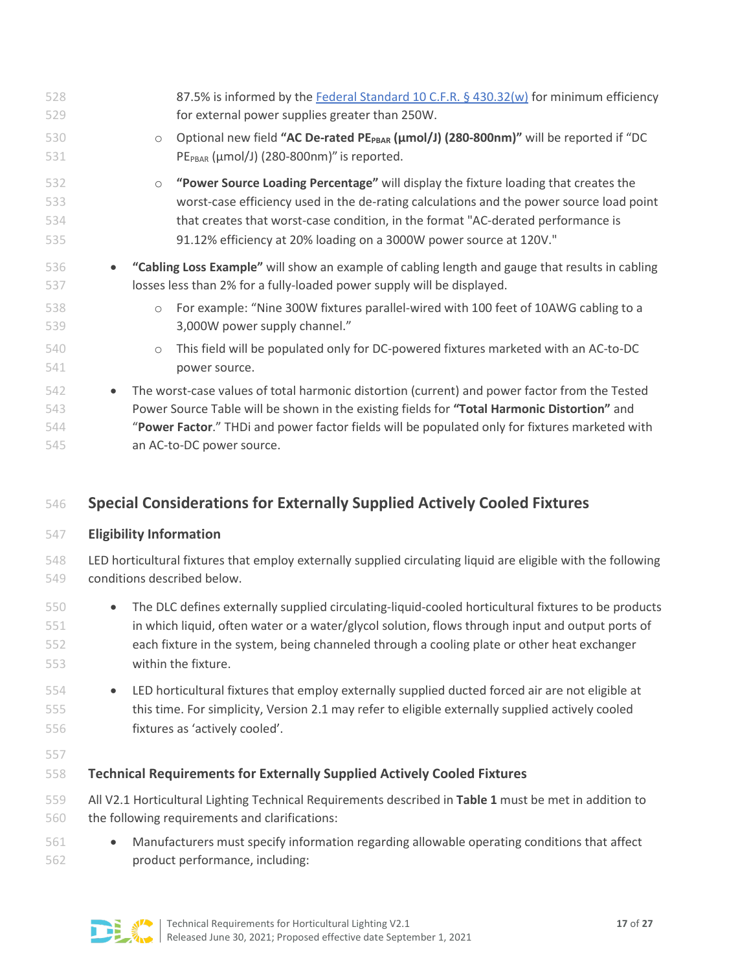| 528<br>529       | 87.5% is informed by the Federal Standard 10 C.F.R. § 430.32(w) for minimum efficiency<br>for external power supplies greater than 250W. |
|------------------|------------------------------------------------------------------------------------------------------------------------------------------|
| 530              | Optional new field "AC De-rated PE <sub>PBAR</sub> (umol/J) (280-800nm)" will be reported if "DC<br>$\circ$                              |
| 531              | PE <sub>PBAR</sub> (µmol/J) (280-800nm)" is reported.                                                                                    |
| 532              | "Power Source Loading Percentage" will display the fixture loading that creates the<br>$\circ$                                           |
| 533              | worst-case efficiency used in the de-rating calculations and the power source load point                                                 |
| 534              | that creates that worst-case condition, in the format "AC-derated performance is                                                         |
| 535              | 91.12% efficiency at 20% loading on a 3000W power source at 120V."                                                                       |
| 536<br>$\bullet$ | "Cabling Loss Example" will show an example of cabling length and gauge that results in cabling                                          |
| 537              | losses less than 2% for a fully-loaded power supply will be displayed.                                                                   |
| 538              | For example: "Nine 300W fixtures parallel-wired with 100 feet of 10AWG cabling to a<br>$\circ$                                           |
| 539              | 3,000W power supply channel."                                                                                                            |
| 540              | This field will be populated only for DC-powered fixtures marketed with an AC-to-DC<br>$\circ$                                           |
| 541              | power source.                                                                                                                            |
| 542<br>$\bullet$ | The worst-case values of total harmonic distortion (current) and power factor from the Tested                                            |
| 543              | Power Source Table will be shown in the existing fields for "Total Harmonic Distortion" and                                              |
| 544              | "Power Factor." THDi and power factor fields will be populated only for fixtures marketed with                                           |
| 545              | an AC-to-DC power source.                                                                                                                |

# **Special Considerations for Externally Supplied Actively Cooled Fixtures**

#### **Eligibility Information**

 LED horticultural fixtures that employ externally supplied circulating liquid are eligible with the following conditions described below.

- The DLC defines externally supplied circulating-liquid-cooled horticultural fixtures to be products in which liquid, often water or a water/glycol solution, flows through input and output ports of each fixture in the system, being channeled through a cooling plate or other heat exchanger within the fixture.
- LED horticultural fixtures that employ externally supplied ducted forced air are not eligible at this time. For simplicity, Version 2.1 may refer to eligible externally supplied actively cooled fixtures as 'actively cooled'.

### **Technical Requirements for Externally Supplied Actively Cooled Fixtures**

 All V2.1 Horticultural Lighting Technical Requirements described in **[Table 1](#page-2-0)** must be met in addition to the following requirements and clarifications:

 • Manufacturers must specify information regarding allowable operating conditions that affect product performance, including:

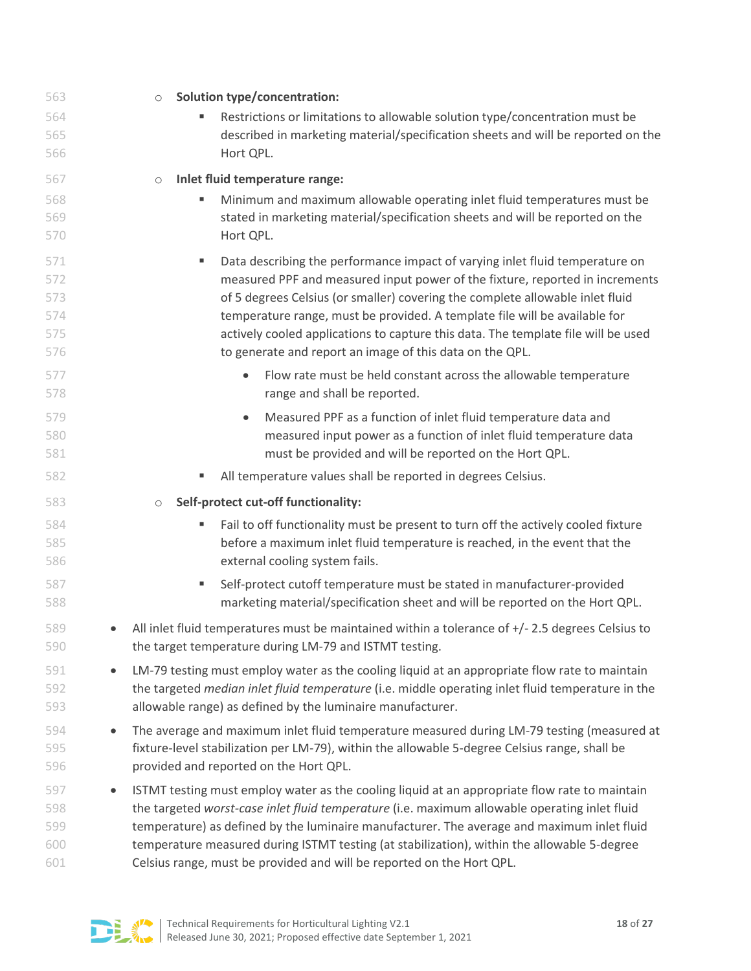| 563 | <b>Solution type/concentration:</b><br>$\circ$                                                        |
|-----|-------------------------------------------------------------------------------------------------------|
| 564 | Restrictions or limitations to allowable solution type/concentration must be                          |
| 565 | described in marketing material/specification sheets and will be reported on the                      |
| 566 | Hort QPL.                                                                                             |
| 567 | Inlet fluid temperature range:<br>$\bigcirc$                                                          |
| 568 | Minimum and maximum allowable operating inlet fluid temperatures must be                              |
| 569 | stated in marketing material/specification sheets and will be reported on the                         |
| 570 | Hort QPL.                                                                                             |
| 571 | Data describing the performance impact of varying inlet fluid temperature on<br>٠                     |
| 572 | measured PPF and measured input power of the fixture, reported in increments                          |
| 573 | of 5 degrees Celsius (or smaller) covering the complete allowable inlet fluid                         |
| 574 | temperature range, must be provided. A template file will be available for                            |
| 575 | actively cooled applications to capture this data. The template file will be used                     |
| 576 | to generate and report an image of this data on the QPL.                                              |
| 577 | Flow rate must be held constant across the allowable temperature<br>$\bullet$                         |
| 578 | range and shall be reported.                                                                          |
| 579 | Measured PPF as a function of inlet fluid temperature data and<br>$\bullet$                           |
| 580 | measured input power as a function of inlet fluid temperature data                                    |
| 581 | must be provided and will be reported on the Hort QPL.                                                |
| 582 | All temperature values shall be reported in degrees Celsius.                                          |
| 583 | Self-protect cut-off functionality:<br>$\circlearrowright$                                            |
| 584 | Fail to off functionality must be present to turn off the actively cooled fixture                     |
| 585 | before a maximum inlet fluid temperature is reached, in the event that the                            |
| 586 | external cooling system fails.                                                                        |
| 587 | Self-protect cutoff temperature must be stated in manufacturer-provided<br>٠                          |
| 588 | marketing material/specification sheet and will be reported on the Hort QPL.                          |
| 589 | All inlet fluid temperatures must be maintained within a tolerance of +/- 2.5 degrees Celsius to<br>٠ |
| 590 | the target temperature during LM-79 and ISTMT testing.                                                |
| 591 | LM-79 testing must employ water as the cooling liquid at an appropriate flow rate to maintain<br>٠    |
| 592 | the targeted median inlet fluid temperature (i.e. middle operating inlet fluid temperature in the     |
| 593 | allowable range) as defined by the luminaire manufacturer.                                            |
| 594 | The average and maximum inlet fluid temperature measured during LM-79 testing (measured at<br>٠       |
| 595 | fixture-level stabilization per LM-79), within the allowable 5-degree Celsius range, shall be         |
| 596 | provided and reported on the Hort QPL.                                                                |
| 597 | ISTMT testing must employ water as the cooling liquid at an appropriate flow rate to maintain<br>٠    |
| 598 | the targeted worst-case inlet fluid temperature (i.e. maximum allowable operating inlet fluid         |
| 599 | temperature) as defined by the luminaire manufacturer. The average and maximum inlet fluid            |
| 600 | temperature measured during ISTMT testing (at stabilization), within the allowable 5-degree           |
| 601 | Celsius range, must be provided and will be reported on the Hort QPL.                                 |

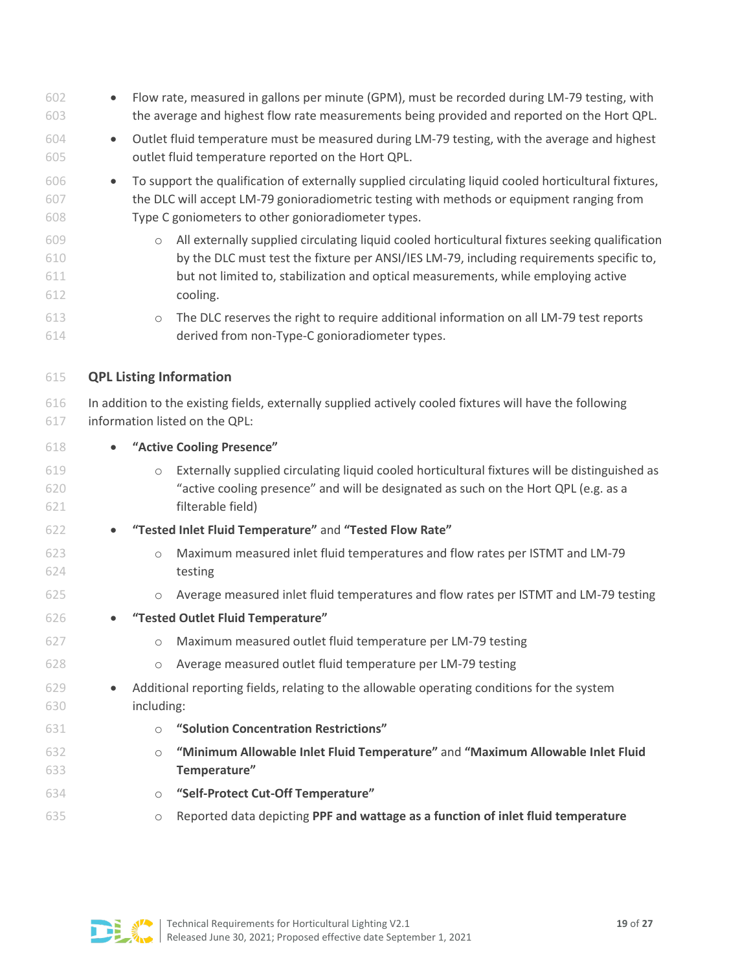| 602<br>603               | Flow rate, measured in gallons per minute (GPM), must be recorded during LM-79 testing, with<br>$\bullet$<br>the average and highest flow rate measurements being provided and reported on the Hort QPL.                                                                                                   |
|--------------------------|------------------------------------------------------------------------------------------------------------------------------------------------------------------------------------------------------------------------------------------------------------------------------------------------------------|
| 604<br>605               | Outlet fluid temperature must be measured during LM-79 testing, with the average and highest<br>$\bullet$<br>outlet fluid temperature reported on the Hort QPL.                                                                                                                                            |
| 606<br>607<br>608        | To support the qualification of externally supplied circulating liquid cooled horticultural fixtures,<br>$\bullet$<br>the DLC will accept LM-79 gonioradiometric testing with methods or equipment ranging from<br>Type C goniometers to other gonioradiometer types.                                      |
| 609<br>610<br>611<br>612 | All externally supplied circulating liquid cooled horticultural fixtures seeking qualification<br>$\bigcirc$<br>by the DLC must test the fixture per ANSI/IES LM-79, including requirements specific to,<br>but not limited to, stabilization and optical measurements, while employing active<br>cooling. |
| 613<br>614               | The DLC reserves the right to require additional information on all LM-79 test reports<br>$\bigcirc$<br>derived from non-Type-C gonioradiometer types.                                                                                                                                                     |
| 615                      | <b>QPL Listing Information</b>                                                                                                                                                                                                                                                                             |
| 616<br>617               | In addition to the existing fields, externally supplied actively cooled fixtures will have the following<br>information listed on the QPL:                                                                                                                                                                 |
| 618                      | "Active Cooling Presence"                                                                                                                                                                                                                                                                                  |
| 619<br>620<br>621        | Externally supplied circulating liquid cooled horticultural fixtures will be distinguished as<br>$\bigcirc$<br>"active cooling presence" and will be designated as such on the Hort QPL (e.g. as a<br>filterable field)                                                                                    |
| 622                      | "Tested Inlet Fluid Temperature" and "Tested Flow Rate"                                                                                                                                                                                                                                                    |
| 623<br>624               | Maximum measured inlet fluid temperatures and flow rates per ISTMT and LM-79<br>$\bigcirc$<br>testing                                                                                                                                                                                                      |
| 625                      | Average measured inlet fluid temperatures and flow rates per ISTMT and LM-79 testing<br>$\circ$                                                                                                                                                                                                            |
| 626                      | "Tested Outlet Fluid Temperature"                                                                                                                                                                                                                                                                          |
| 627                      | Maximum measured outlet fluid temperature per LM-79 testing<br>$\circ$                                                                                                                                                                                                                                     |
| 628                      | Average measured outlet fluid temperature per LM-79 testing<br>$\circ$                                                                                                                                                                                                                                     |
| 629<br>630               | Additional reporting fields, relating to the allowable operating conditions for the system<br>including:                                                                                                                                                                                                   |
| 631                      | "Solution Concentration Restrictions"<br>$\circ$                                                                                                                                                                                                                                                           |
| 632<br>633               | "Minimum Allowable Inlet Fluid Temperature" and "Maximum Allowable Inlet Fluid<br>$\circ$<br>Temperature"                                                                                                                                                                                                  |
| 634                      | "Self-Protect Cut-Off Temperature"<br>$\circ$                                                                                                                                                                                                                                                              |
| 635                      | Reported data depicting PPF and wattage as a function of inlet fluid temperature<br>$\circlearrowright$                                                                                                                                                                                                    |

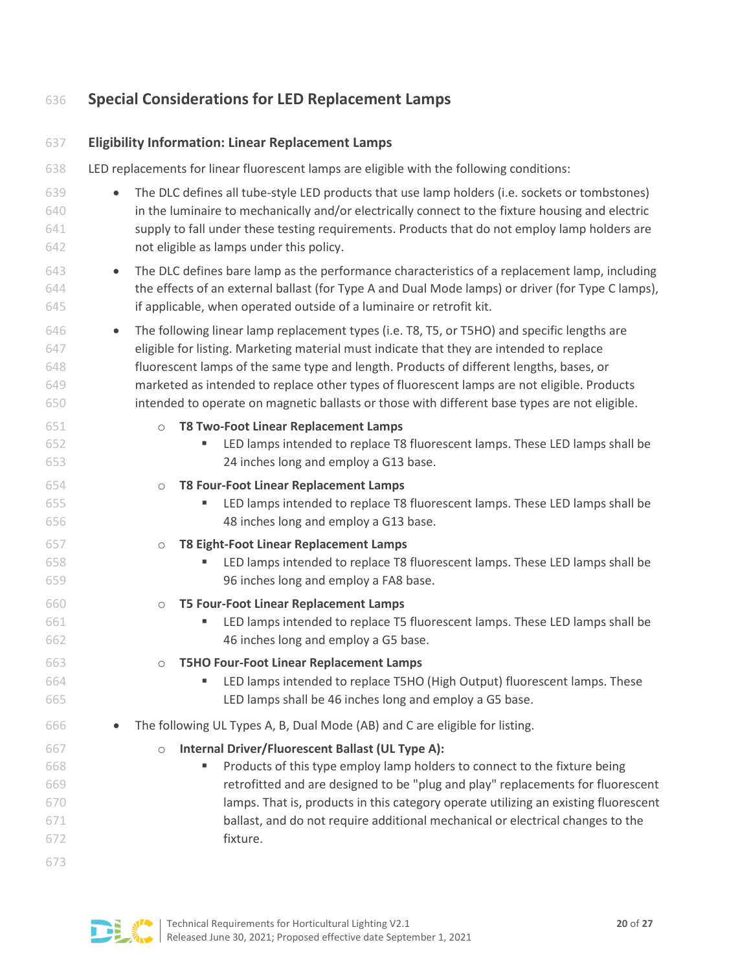# **Special Considerations for LED Replacement Lamps**

| 637                                           | <b>Eligibility Information: Linear Replacement Lamps</b>                                                                                                                                                                                                                                                                                                                                                                                                                                        |
|-----------------------------------------------|-------------------------------------------------------------------------------------------------------------------------------------------------------------------------------------------------------------------------------------------------------------------------------------------------------------------------------------------------------------------------------------------------------------------------------------------------------------------------------------------------|
| 638                                           | LED replacements for linear fluorescent lamps are eligible with the following conditions:                                                                                                                                                                                                                                                                                                                                                                                                       |
| 639<br>640<br>641<br>642                      | The DLC defines all tube-style LED products that use lamp holders (i.e. sockets or tombstones)<br>$\bullet$<br>in the luminaire to mechanically and/or electrically connect to the fixture housing and electric<br>supply to fall under these testing requirements. Products that do not employ lamp holders are<br>not eligible as lamps under this policy.                                                                                                                                    |
| 643<br>644<br>645                             | The DLC defines bare lamp as the performance characteristics of a replacement lamp, including<br>$\bullet$<br>the effects of an external ballast (for Type A and Dual Mode lamps) or driver (for Type C lamps),<br>if applicable, when operated outside of a luminaire or retrofit kit.                                                                                                                                                                                                         |
| 646<br>647<br>648<br>649<br>650               | The following linear lamp replacement types (i.e. T8, T5, or T5HO) and specific lengths are<br>$\bullet$<br>eligible for listing. Marketing material must indicate that they are intended to replace<br>fluorescent lamps of the same type and length. Products of different lengths, bases, or<br>marketed as intended to replace other types of fluorescent lamps are not eligible. Products<br>intended to operate on magnetic ballasts or those with different base types are not eligible. |
| 651<br>652<br>653                             | <b>T8 Two-Foot Linear Replacement Lamps</b><br>$\circ$<br>LED lamps intended to replace T8 fluorescent lamps. These LED lamps shall be<br>٠<br>24 inches long and employ a G13 base.                                                                                                                                                                                                                                                                                                            |
| 654<br>655<br>656                             | <b>T8 Four-Foot Linear Replacement Lamps</b><br>$\circ$<br>LED lamps intended to replace T8 fluorescent lamps. These LED lamps shall be<br>٠<br>48 inches long and employ a G13 base.                                                                                                                                                                                                                                                                                                           |
| 657<br>658<br>659                             | T8 Eight-Foot Linear Replacement Lamps<br>$\circ$<br>LED lamps intended to replace T8 fluorescent lamps. These LED lamps shall be<br>٠<br>96 inches long and employ a FA8 base.                                                                                                                                                                                                                                                                                                                 |
| 660<br>661<br>662                             | <b>T5 Four-Foot Linear Replacement Lamps</b><br>$\circ$<br>LED lamps intended to replace T5 fluorescent lamps. These LED lamps shall be<br>ш<br>46 inches long and employ a G5 base.                                                                                                                                                                                                                                                                                                            |
| 663<br>664<br>665                             | <b>T5HO Four-Foot Linear Replacement Lamps</b><br>$\circ$<br>" LED lamps intended to replace T5HO (High Output) fluorescent lamps. These<br>LED lamps shall be 46 inches long and employ a G5 base.                                                                                                                                                                                                                                                                                             |
| 666                                           | The following UL Types A, B, Dual Mode (AB) and C are eligible for listing.                                                                                                                                                                                                                                                                                                                                                                                                                     |
| 667<br>668<br>669<br>670<br>671<br>672<br>673 | Internal Driver/Fluorescent Ballast (UL Type A):<br>$\circ$<br>Products of this type employ lamp holders to connect to the fixture being<br>retrofitted and are designed to be "plug and play" replacements for fluorescent<br>lamps. That is, products in this category operate utilizing an existing fluorescent<br>ballast, and do not require additional mechanical or electrical changes to the<br>fixture.                                                                                |

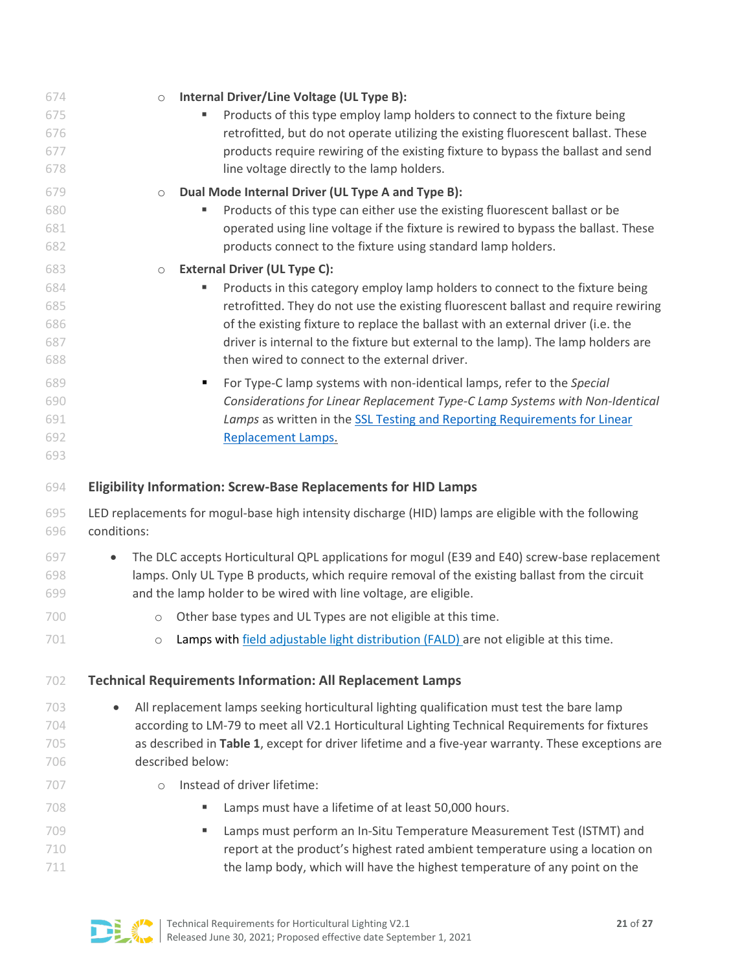| 674        | Internal Driver/Line Voltage (UL Type B):<br>$\circlearrowright$                                                                                          |  |
|------------|-----------------------------------------------------------------------------------------------------------------------------------------------------------|--|
| 675        | Products of this type employ lamp holders to connect to the fixture being                                                                                 |  |
| 676        | retrofitted, but do not operate utilizing the existing fluorescent ballast. These                                                                         |  |
| 677        | products require rewiring of the existing fixture to bypass the ballast and send                                                                          |  |
| 678        | line voltage directly to the lamp holders.                                                                                                                |  |
| 679        | Dual Mode Internal Driver (UL Type A and Type B):<br>$\circlearrowright$                                                                                  |  |
| 680        | Products of this type can either use the existing fluorescent ballast or be<br>٠                                                                          |  |
| 681        | operated using line voltage if the fixture is rewired to bypass the ballast. These                                                                        |  |
| 682        | products connect to the fixture using standard lamp holders.                                                                                              |  |
| 683        | <b>External Driver (UL Type C):</b><br>$\circlearrowright$                                                                                                |  |
| 684        | Products in this category employ lamp holders to connect to the fixture being                                                                             |  |
| 685        | retrofitted. They do not use the existing fluorescent ballast and require rewiring                                                                        |  |
| 686        | of the existing fixture to replace the ballast with an external driver (i.e. the                                                                          |  |
| 687<br>688 | driver is internal to the fixture but external to the lamp). The lamp holders are<br>then wired to connect to the external driver.                        |  |
|            |                                                                                                                                                           |  |
| 689        | For Type-C lamp systems with non-identical lamps, refer to the Special<br>٠                                                                               |  |
| 690<br>691 | Considerations for Linear Replacement Type-C Lamp Systems with Non-Identical<br>Lamps as written in the SSL Testing and Reporting Requirements for Linear |  |
| 692        | Replacement Lamps.                                                                                                                                        |  |
| 693        |                                                                                                                                                           |  |
|            |                                                                                                                                                           |  |
| 694        | <b>Eligibility Information: Screw-Base Replacements for HID Lamps</b>                                                                                     |  |
| 695<br>696 | LED replacements for mogul-base high intensity discharge (HID) lamps are eligible with the following<br>conditions:                                       |  |
| 697        | The DLC accepts Horticultural QPL applications for mogul (E39 and E40) screw-base replacement<br>$\bullet$                                                |  |
| 698        | lamps. Only UL Type B products, which require removal of the existing ballast from the circuit                                                            |  |
| 699        | and the lamp holder to be wired with line voltage, are eligible.                                                                                          |  |
| 700        | Other base types and UL Types are not eligible at this time.<br>$\bigcirc$                                                                                |  |
| 701        | o Lamps with field adjustable light distribution (FALD) are not eligible at this time.                                                                    |  |
|            |                                                                                                                                                           |  |
| 702        | <b>Technical Requirements Information: All Replacement Lamps</b>                                                                                          |  |
| 703        | All replacement lamps seeking horticultural lighting qualification must test the bare lamp<br>$\bullet$                                                   |  |
| 704        | according to LM-79 to meet all V2.1 Horticultural Lighting Technical Requirements for fixtures                                                            |  |
| 705        | as described in Table 1, except for driver lifetime and a five-year warranty. These exceptions are                                                        |  |
| 706        | described below:                                                                                                                                          |  |
| 707        | Instead of driver lifetime:<br>$\circ$                                                                                                                    |  |
| 708        | Lamps must have a lifetime of at least 50,000 hours.<br>٠                                                                                                 |  |
| 709        | Lamps must perform an In-Situ Temperature Measurement Test (ISTMT) and<br>٠                                                                               |  |
| 710        | report at the product's highest rated ambient temperature using a location on                                                                             |  |
| 711        | the lamp body, which will have the highest temperature of any point on the                                                                                |  |

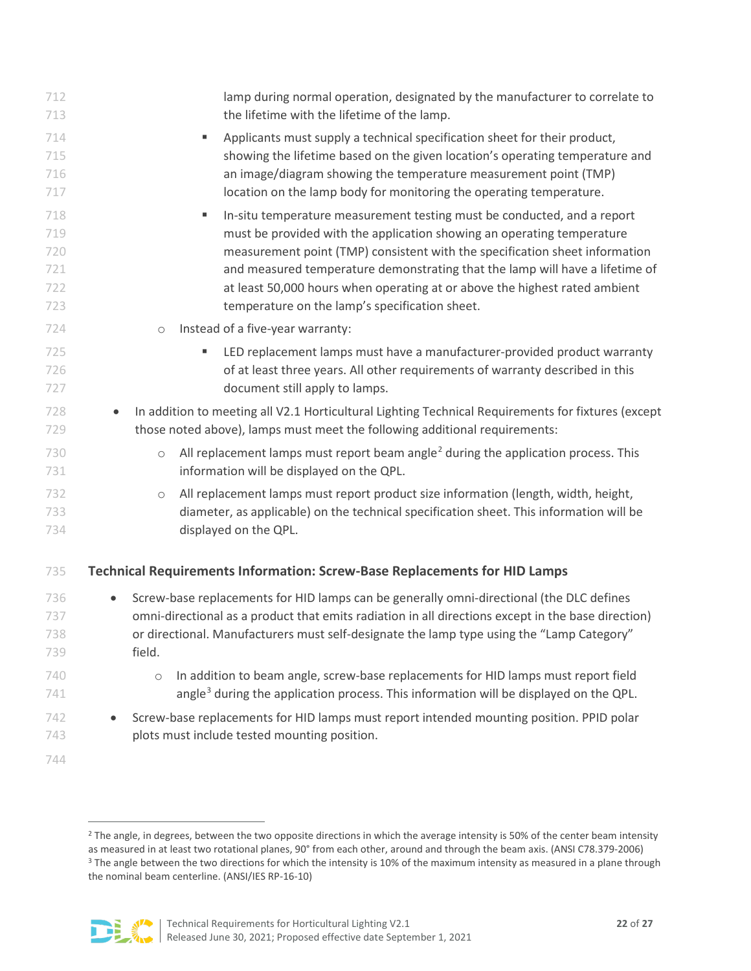| 712<br>713 | lamp during normal operation, designated by the manufacturer to correlate to<br>the lifetime with the lifetime of the lamp. |
|------------|-----------------------------------------------------------------------------------------------------------------------------|
| 714        | Applicants must supply a technical specification sheet for their product,<br>٠                                              |
| 715        | showing the lifetime based on the given location's operating temperature and                                                |
| 716        | an image/diagram showing the temperature measurement point (TMP)                                                            |
| 717        | location on the lamp body for monitoring the operating temperature.                                                         |
| 718        | In-situ temperature measurement testing must be conducted, and a report<br>ш                                                |
| 719        | must be provided with the application showing an operating temperature                                                      |
| 720        | measurement point (TMP) consistent with the specification sheet information                                                 |
| 721        | and measured temperature demonstrating that the lamp will have a lifetime of                                                |
| 722        | at least 50,000 hours when operating at or above the highest rated ambient                                                  |
| 723        | temperature on the lamp's specification sheet.                                                                              |
| 724        | Instead of a five-year warranty:<br>$\circ$                                                                                 |
| 725        | LED replacement lamps must have a manufacturer-provided product warranty<br>ш                                               |
| 726        | of at least three years. All other requirements of warranty described in this                                               |
| 727        | document still apply to lamps.                                                                                              |
| 728        | In addition to meeting all V2.1 Horticultural Lighting Technical Requirements for fixtures (except<br>$\bullet$             |
| 729        | those noted above), lamps must meet the following additional requirements:                                                  |
| 730        | All replacement lamps must report beam angle <sup>2</sup> during the application process. This<br>$\bigcirc$                |
| 731        | information will be displayed on the QPL.                                                                                   |
| 732        | All replacement lamps must report product size information (length, width, height,<br>$\circlearrowright$                   |
| 733        | diameter, as applicable) on the technical specification sheet. This information will be                                     |
| 734        | displayed on the QPL.                                                                                                       |
| 735        | <b>Technical Requirements Information: Screw-Base Replacements for HID Lamps</b>                                            |
| 736        | Screw-base replacements for HID lamps can be generally omni-directional (the DLC defines<br>$\bullet$                       |
| 737        | omni-directional as a product that emits radiation in all directions except in the base direction)                          |
| 738        | or directional. Manufacturers must self-designate the lamp type using the "Lamp Category"                                   |
| 739        | field.                                                                                                                      |
| 740        | In addition to beam angle, screw-base replacements for HID lamps must report field<br>$\circ$                               |
| 741        | angle <sup>3</sup> during the application process. This information will be displayed on the QPL.                           |
| 742        | Screw-base replacements for HID lamps must report intended mounting position. PPID polar                                    |
| 743        | plots must include tested mounting position.                                                                                |
| 744        |                                                                                                                             |

<span id="page-21-1"></span><span id="page-21-0"></span><sup>&</sup>lt;sup>2</sup> The angle, in degrees, between the two opposite directions in which the average intensity is 50% of the center beam intensity as measured in at least two rotational planes, 90° from each other, around and through the beam axis. (ANSI C78.379-2006) <sup>3</sup> The angle between the two directions for which the intensity is 10% of the maximum intensity as measured in a plane through the nominal beam centerline. (ANSI/IES RP-16-10)

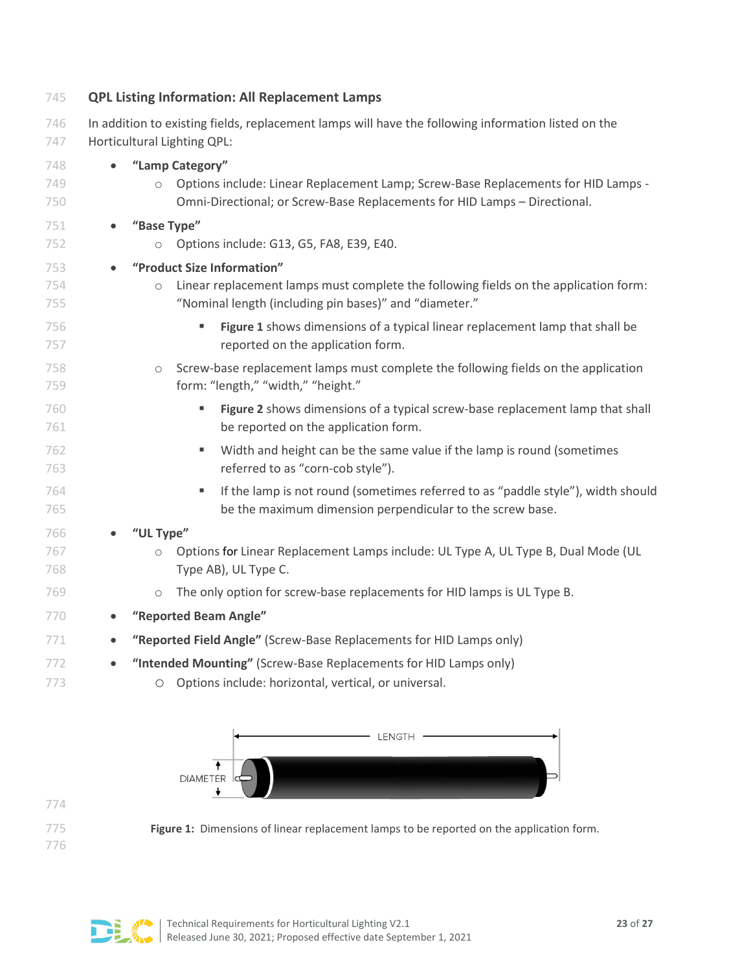| 745        | <b>QPL Listing Information: All Replacement Lamps</b>                                                                              |
|------------|------------------------------------------------------------------------------------------------------------------------------------|
| 746<br>747 | In addition to existing fields, replacement lamps will have the following information listed on the<br>Horticultural Lighting QPL: |
| 748        | "Lamp Category"                                                                                                                    |
| 749        | Options include: Linear Replacement Lamp; Screw-Base Replacements for HID Lamps -<br>$\circ$                                       |
| 750        | Omni-Directional; or Screw-Base Replacements for HID Lamps - Directional.                                                          |
| 751        | "Base Type"                                                                                                                        |
| 752        | Options include: G13, G5, FA8, E39, E40.<br>$\circ$                                                                                |
| 753        | "Product Size Information"                                                                                                         |
| 754        | Linear replacement lamps must complete the following fields on the application form:<br>$\bigcirc$                                 |
| 755        | "Nominal length (including pin bases)" and "diameter."                                                                             |
| 756        | Figure 1 shows dimensions of a typical linear replacement lamp that shall be                                                       |
| 757        | reported on the application form.                                                                                                  |
| 758        | Screw-base replacement lamps must complete the following fields on the application<br>$\circ$                                      |
| 759        | form: "length," "width," "height."                                                                                                 |
| 760        | Figure 2 shows dimensions of a typical screw-base replacement lamp that shall                                                      |
| 761        | be reported on the application form.                                                                                               |
| 762        | Width and height can be the same value if the lamp is round (sometimes<br>٠                                                        |
| 763        | referred to as "corn-cob style").                                                                                                  |
| 764        | If the lamp is not round (sometimes referred to as "paddle style"), width should<br>٠                                              |
| 765        | be the maximum dimension perpendicular to the screw base.                                                                          |
| 766        | "UL Type"                                                                                                                          |
| 767        | Options for Linear Replacement Lamps include: UL Type A, UL Type B, Dual Mode (UL<br>$\circ$                                       |
| 768        | Type AB), UL Type C.                                                                                                               |
| 769        | The only option for screw-base replacements for HID lamps is UL Type B.<br>$\circ$                                                 |
| 770        | "Reported Beam Angle"<br>٠                                                                                                         |
| 771        | "Reported Field Angle" (Screw-Base Replacements for HID Lamps only)<br>$\bullet$                                                   |
| 772        | "Intended Mounting" (Screw-Base Replacements for HID Lamps only)<br>٠                                                              |
| 773        | Options include: horizontal, vertical, or universal.<br>$\circ$                                                                    |
|            |                                                                                                                                    |



<span id="page-22-0"></span>**Figure 1:** Dimensions of linear replacement lamps to be reported on the application form.

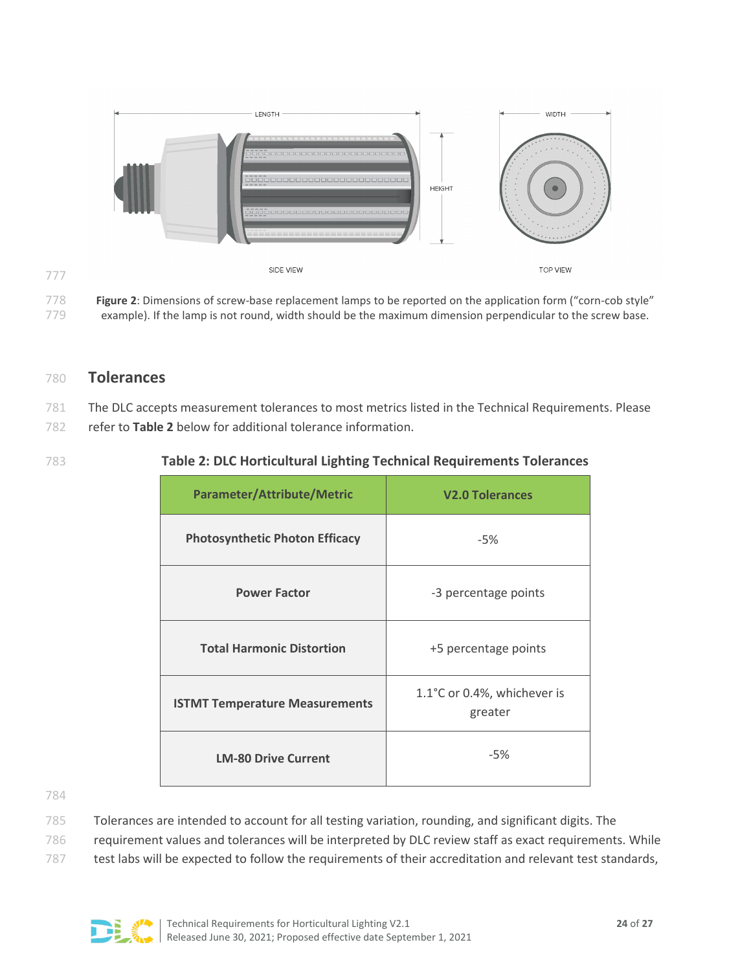

<span id="page-23-0"></span>778 **Figure 2**: Dimensions of screw-base replacement lamps to be reported on the application form ("corn-cob style" 779 example). If the lamp is not round, width should be the maximum dimension perpendicular to the screw base.

### 780 **Tolerances**

781 The DLC accepts measurement tolerances to most metrics listed in the Technical Requirements. Please

782 refer to **[Table 2](#page-23-1)** below for additional tolerance information.

<span id="page-23-1"></span>

777

#### 783 **Table 2: DLC Horticultural Lighting Technical Requirements Tolerances**

| <b>Parameter/Attribute/Metric</b>     | <b>V2.0 Tolerances</b>                 |
|---------------------------------------|----------------------------------------|
| <b>Photosynthetic Photon Efficacy</b> | $-5%$                                  |
| <b>Power Factor</b>                   | -3 percentage points                   |
| <b>Total Harmonic Distortion</b>      | +5 percentage points                   |
| <b>ISTMT Temperature Measurements</b> | 1.1°C or 0.4%, whichever is<br>greater |
| <b>LM-80 Drive Current</b>            | $-5%$                                  |

784

785 Tolerances are intended to account for all testing variation, rounding, and significant digits. The

786 requirement values and tolerances will be interpreted by DLC review staff as exact requirements. While

787 test labs will be expected to follow the requirements of their accreditation and relevant test standards,

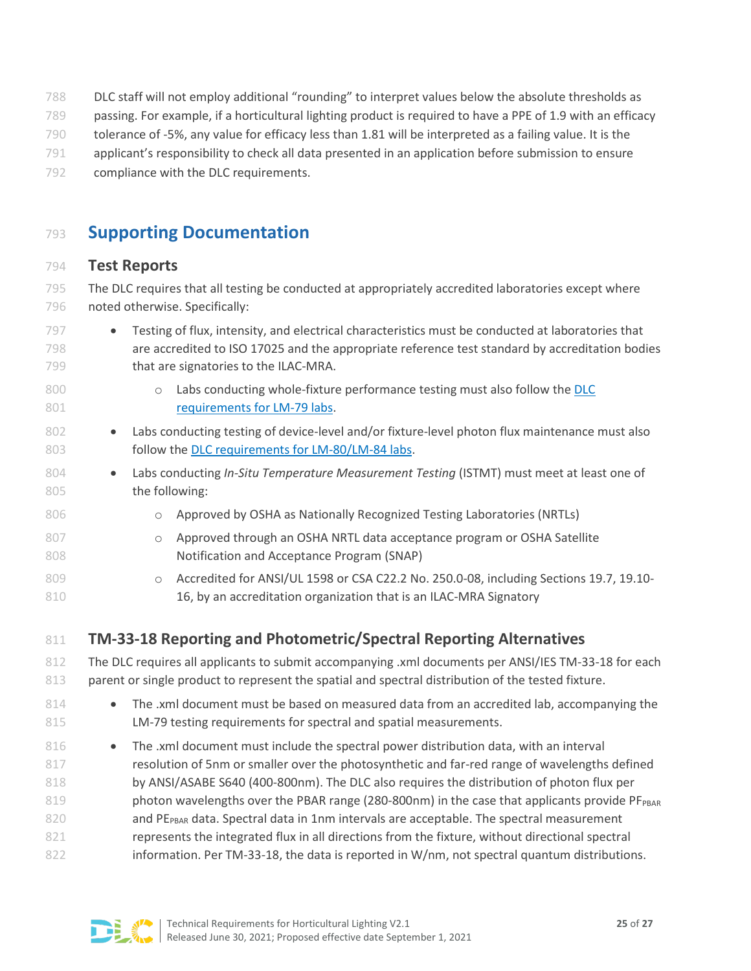- 788 DLC staff will not employ additional "rounding" to interpret values below the absolute thresholds as
- 789 passing. For example, if a horticultural lighting product is required to have a PPE of 1.9 with an efficacy
- 790 tolerance of -5%, any value for efficacy less than 1.81 will be interpreted as a failing value. It is the
- 791 applicant's responsibility to check all data presented in an application before submission to ensure
- 792 compliance with the DLC requirements.

# <sup>793</sup> **Supporting Documentation**

### 794 **Test Reports**

795 The DLC requires that all testing be conducted at appropriately accredited laboratories except where 796 noted otherwise. Specifically:

- 797 Testing of flux, intensity, and electrical characteristics must be conducted at laboratories that 798 are accredited to ISO 17025 and the appropriate reference test standard by accreditation bodies 799 that are signatories to the ILAC-MRA.
- 800 **b conducting whole-fixture performance testing must also follow the DLC** 801 [requirements for LM-79 labs.](https://www.designlights.org/default/assets/File/SSL/DLC-LM79-Testing-Lab-Requirements.pdf)
- 802 Labs conducting testing of device-level and/or fixture-level photon flux maintenance must also 803 **follow the [DLC requirements for LM-80/LM-84 labs.](https://www.designlights.org/solid-state-lighting/qualification-requirements/testing-lab-requirements/)**
- 804 Labs conducting *In-Situ Temperature Measurement Testing* (ISTMT) must meet at least one of 805 the following:
- 806 **o** Approved by OSHA as Nationally Recognized Testing Laboratories (NRTLs)
- 807 **b and Strate Approved through an OSHA NRTL data acceptance program or OSHA Satellite** 808 Notification and Acceptance Program (SNAP)
- 809 **component of ANSI/UL 1598 or CSA C22.2 No. 250.0-08, including Sections 19.7, 19.10-**810 16, by an accreditation organization that is an ILAC-MRA Signatory
- <span id="page-24-0"></span>811 **TM-33-18 Reporting and Photometric/Spectral Reporting Alternatives**

812 The DLC requires all applicants to submit accompanying .xml documents per ANSI/IES TM-33-18 for each 813 parent or single product to represent the spatial and spectral distribution of the tested fixture.

- 814 The .xml document must be based on measured data from an accredited lab, accompanying the 815 LM-79 testing requirements for spectral and spatial measurements.
- 816 The .xml document must include the spectral power distribution data, with an interval 817 resolution of 5nm or smaller over the photosynthetic and far-red range of wavelengths defined 818 by ANSI/ASABE S640 (400-800nm). The DLC also requires the distribution of photon flux per 819 bhoton wavelengths over the PBAR range (280-800nm) in the case that applicants provide  $PF_{PBAR}$ 820 and PE<sub>PBAR</sub> data. Spectral data in 1nm intervals are acceptable. The spectral measurement 821 represents the integrated flux in all directions from the fixture, without directional spectral 822 information. Per TM-33-18, the data is reported in W/nm, not spectral quantum distributions.

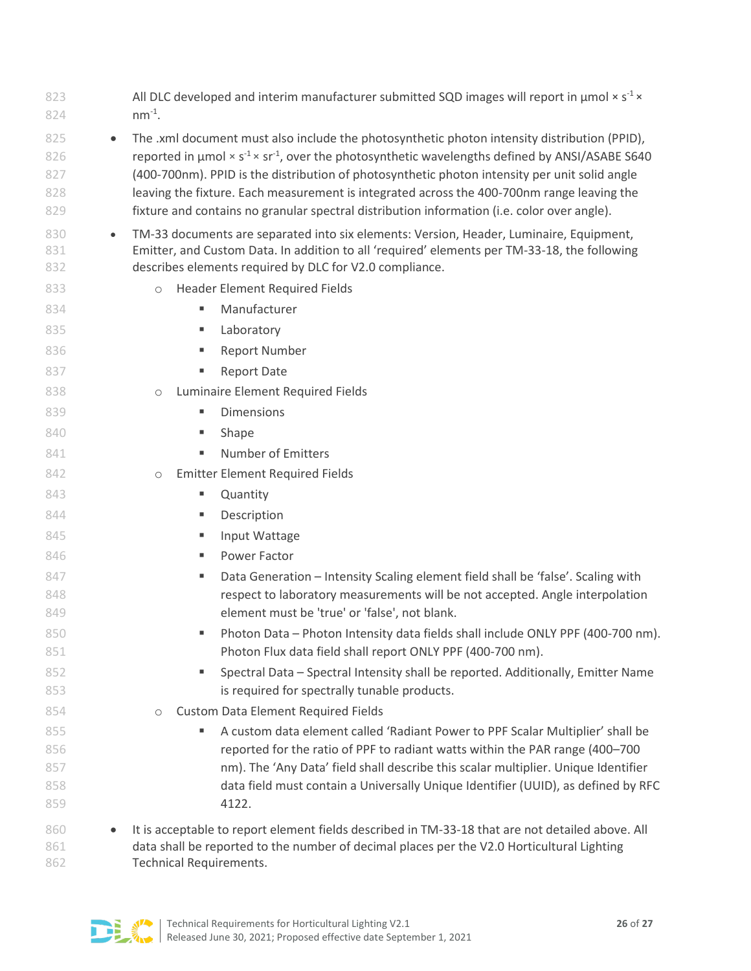| 823<br>824 | All DLC developed and interim manufacturer submitted SQD images will report in $\mu$ mol × s <sup>-1</sup> ×<br>$nm^{-1}$ .                                    |  |
|------------|----------------------------------------------------------------------------------------------------------------------------------------------------------------|--|
| 825        | The .xml document must also include the photosynthetic photon intensity distribution (PPID),<br>$\bullet$                                                      |  |
| 826        | reported in $\mu$ mol × s <sup>-1</sup> × sr <sup>-1</sup> , over the photosynthetic wavelengths defined by ANSI/ASABE S640                                    |  |
| 827        | (400-700nm). PPID is the distribution of photosynthetic photon intensity per unit solid angle                                                                  |  |
| 828        | leaving the fixture. Each measurement is integrated across the 400-700nm range leaving the                                                                     |  |
| 829        | fixture and contains no granular spectral distribution information (i.e. color over angle).                                                                    |  |
| 830        | TM-33 documents are separated into six elements: Version, Header, Luminaire, Equipment,<br>$\bullet$                                                           |  |
| 831        | Emitter, and Custom Data. In addition to all 'required' elements per TM-33-18, the following                                                                   |  |
| 832        | describes elements required by DLC for V2.0 compliance.                                                                                                        |  |
| 833        | <b>Header Element Required Fields</b><br>$\circ$                                                                                                               |  |
| 834        | Manufacturer<br>٠                                                                                                                                              |  |
| 835        | Laboratory<br>٠                                                                                                                                                |  |
| 836        | <b>Report Number</b><br>Ξ                                                                                                                                      |  |
| 837        | <b>Report Date</b><br>٠                                                                                                                                        |  |
| 838        | Luminaire Element Required Fields<br>$\circ$                                                                                                                   |  |
| 839        | <b>Dimensions</b><br>٠                                                                                                                                         |  |
| 840        | Shape<br>٠                                                                                                                                                     |  |
| 841        | <b>Number of Emitters</b><br>I.                                                                                                                                |  |
| 842        | <b>Emitter Element Required Fields</b><br>$\circlearrowright$                                                                                                  |  |
| 843        | Quantity<br>٠                                                                                                                                                  |  |
| 844        | Description<br>٠                                                                                                                                               |  |
| 845        | Input Wattage<br>٠                                                                                                                                             |  |
| 846        | Power Factor<br>٠                                                                                                                                              |  |
| 847        | Data Generation - Intensity Scaling element field shall be 'false'. Scaling with<br>٠                                                                          |  |
| 848        | respect to laboratory measurements will be not accepted. Angle interpolation                                                                                   |  |
| 849        | element must be 'true' or 'false', not blank.                                                                                                                  |  |
| 850        | Photon Data - Photon Intensity data fields shall include ONLY PPF (400-700 nm).<br>٠                                                                           |  |
| 851        | Photon Flux data field shall report ONLY PPF (400-700 nm).                                                                                                     |  |
| 852        | Spectral Data - Spectral Intensity shall be reported. Additionally, Emitter Name<br>٠                                                                          |  |
| 853        | is required for spectrally tunable products.                                                                                                                   |  |
| 854        | <b>Custom Data Element Required Fields</b><br>$\circlearrowright$                                                                                              |  |
| 855<br>856 | A custom data element called 'Radiant Power to PPF Scalar Multiplier' shall be<br>reported for the ratio of PPF to radiant watts within the PAR range (400-700 |  |
| 857        | nm). The 'Any Data' field shall describe this scalar multiplier. Unique Identifier                                                                             |  |
| 858        | data field must contain a Universally Unique Identifier (UUID), as defined by RFC                                                                              |  |
| 859        | 4122.                                                                                                                                                          |  |
| 860        | It is acceptable to report element fields described in TM-33-18 that are not detailed above. All<br>$\bullet$                                                  |  |
| 861        | data shall be reported to the number of decimal places per the V2.0 Horticultural Lighting                                                                     |  |
| 862        | <b>Technical Requirements.</b>                                                                                                                                 |  |